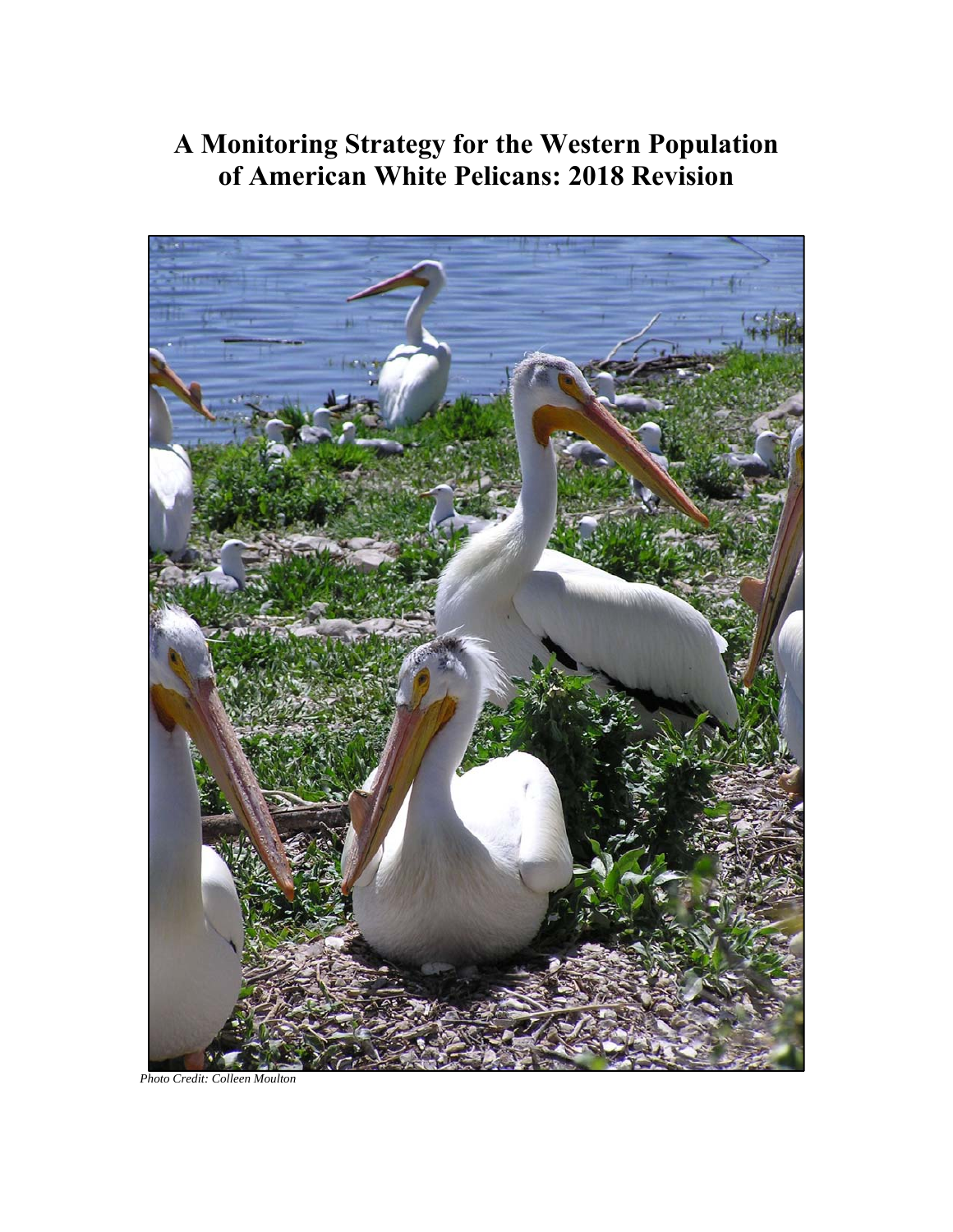# **A Monitoring Strategy for the Western Population of American White Pelicans: 2018 Revision**



*Photo Credit: Colleen Moulton*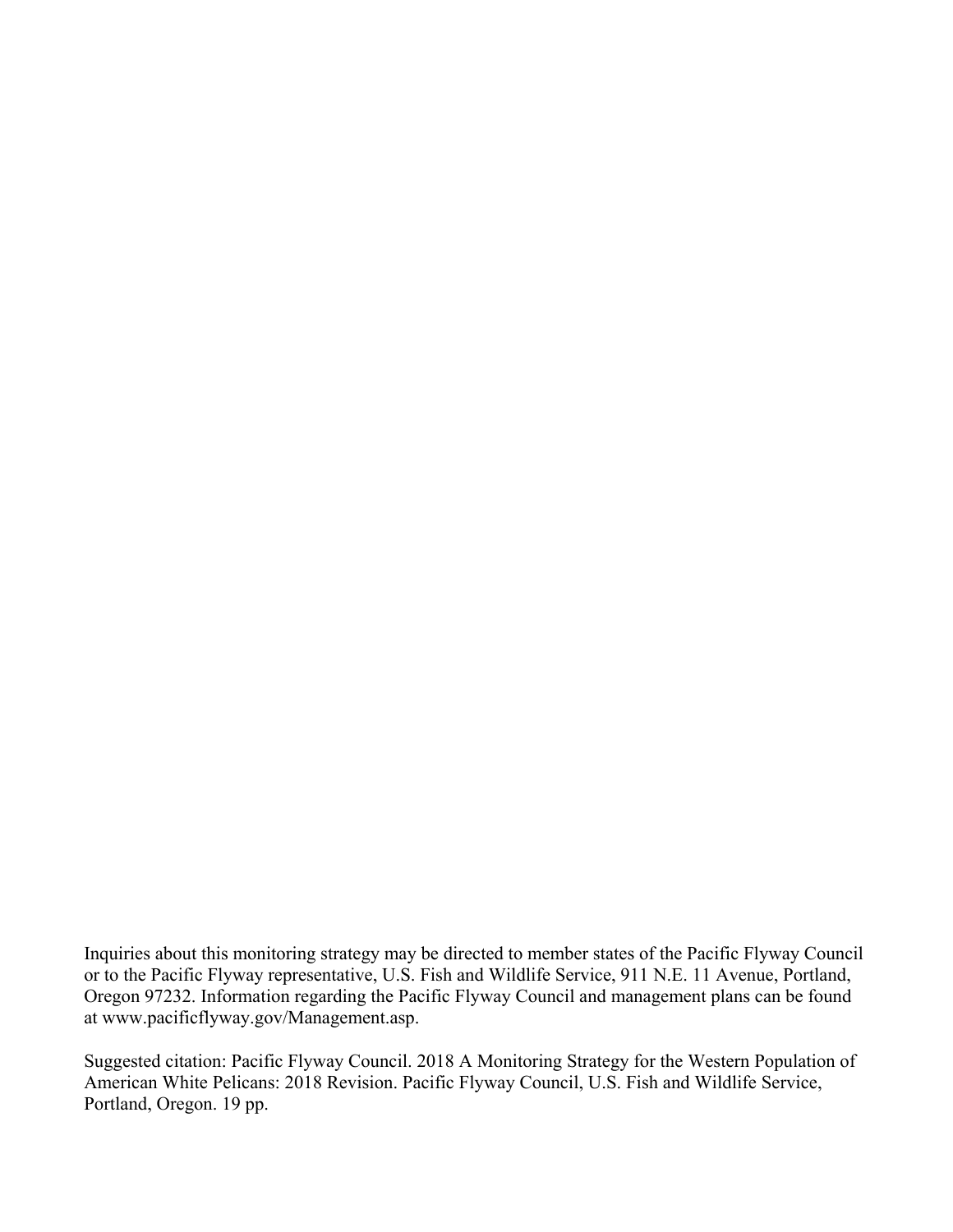Inquiries about this monitoring strategy may be directed to member states of the Pacific Flyway Council or to the Pacific Flyway representative, U.S. Fish and Wildlife Service, 911 N.E. 11 Avenue, Portland, Oregon 97232. Information regarding the Pacific Flyway Council and management plans can be found at www.pacificflyway.gov/Management.asp.

Suggested citation: Pacific Flyway Council. 2018 A Monitoring Strategy for the Western Population of American White Pelicans: 2018 Revision. Pacific Flyway Council, U.S. Fish and Wildlife Service, Portland, Oregon. 19 pp.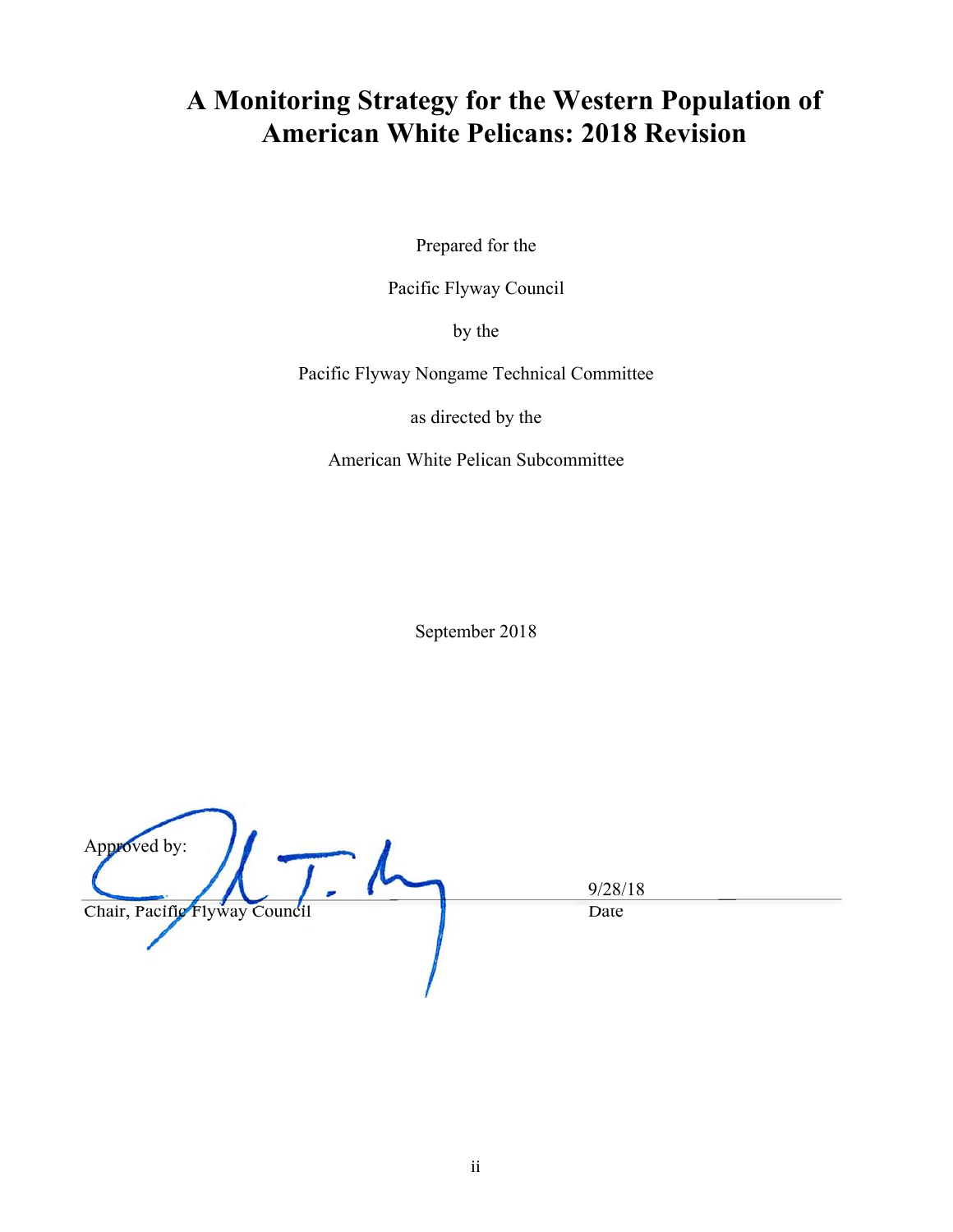## **A Monitoring Strategy for the Western Population of American White Pelicans: 2018 Revision**

Prepared for the

Pacific Flyway Council

by the

Pacific Flyway Nongame Technical Committee

as directed by the

American White Pelican Subcommittee

September 2018

Approved by:  $\frac{9/28/18}{\text{Date}}$ Chair, Pacific Flyway Council Date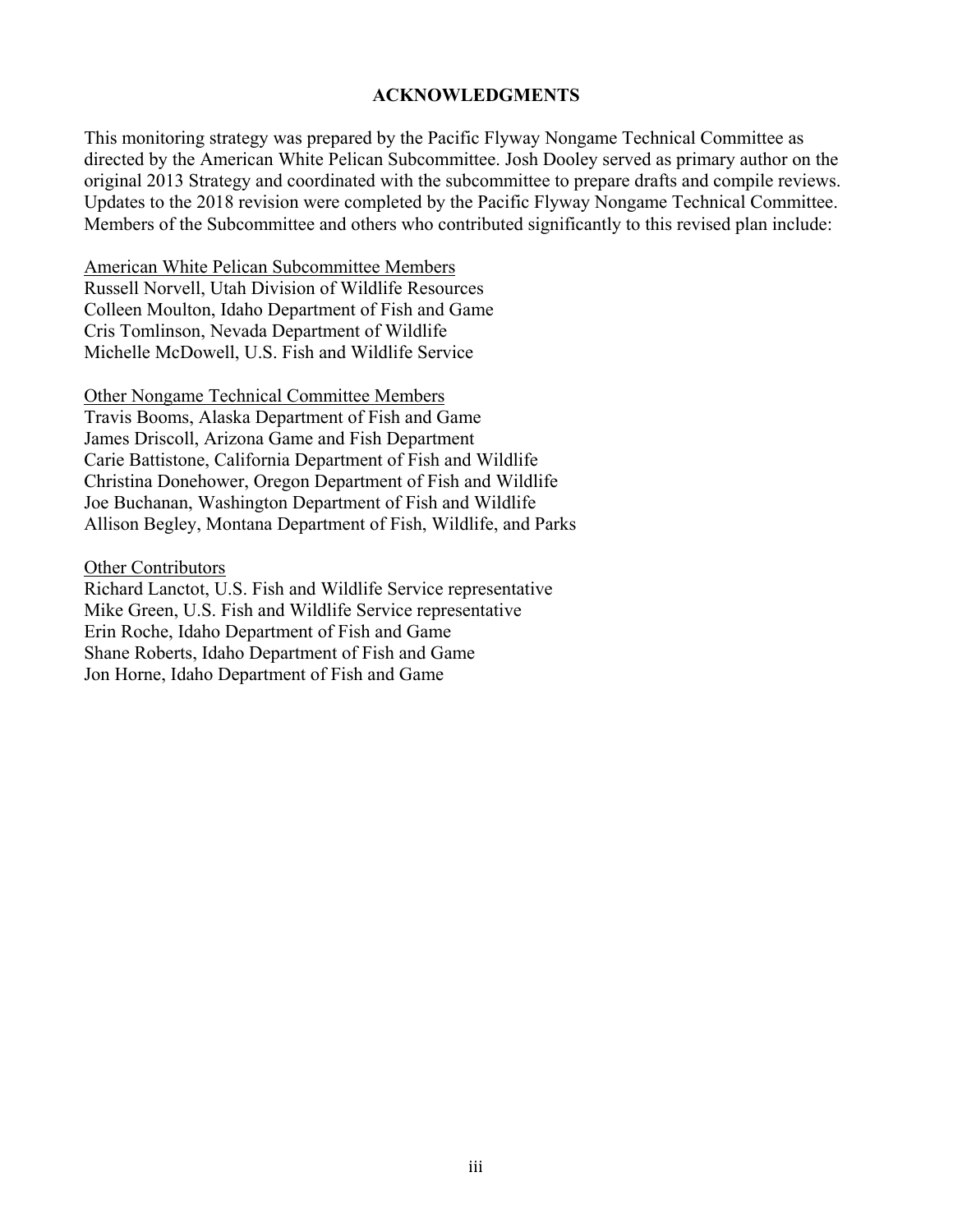#### **ACKNOWLEDGMENTS**

This monitoring strategy was prepared by the Pacific Flyway Nongame Technical Committee as directed by the American White Pelican Subcommittee. Josh Dooley served as primary author on the original 2013 Strategy and coordinated with the subcommittee to prepare drafts and compile reviews. Updates to the 2018 revision were completed by the Pacific Flyway Nongame Technical Committee. Members of the Subcommittee and others who contributed significantly to this revised plan include:

American White Pelican Subcommittee Members Russell Norvell, Utah Division of Wildlife Resources Colleen Moulton, Idaho Department of Fish and Game Cris Tomlinson, Nevada Department of Wildlife Michelle McDowell, U.S. Fish and Wildlife Service

Other Nongame Technical Committee Members Travis Booms, Alaska Department of Fish and Game James Driscoll, Arizona Game and Fish Department Carie Battistone, California Department of Fish and Wildlife Christina Donehower, Oregon Department of Fish and Wildlife Joe Buchanan, Washington Department of Fish and Wildlife Allison Begley, Montana Department of Fish, Wildlife, and Parks

Other Contributors

Richard Lanctot, U.S. Fish and Wildlife Service representative Mike Green, U.S. Fish and Wildlife Service representative Erin Roche, Idaho Department of Fish and Game Shane Roberts, Idaho Department of Fish and Game Jon Horne, Idaho Department of Fish and Game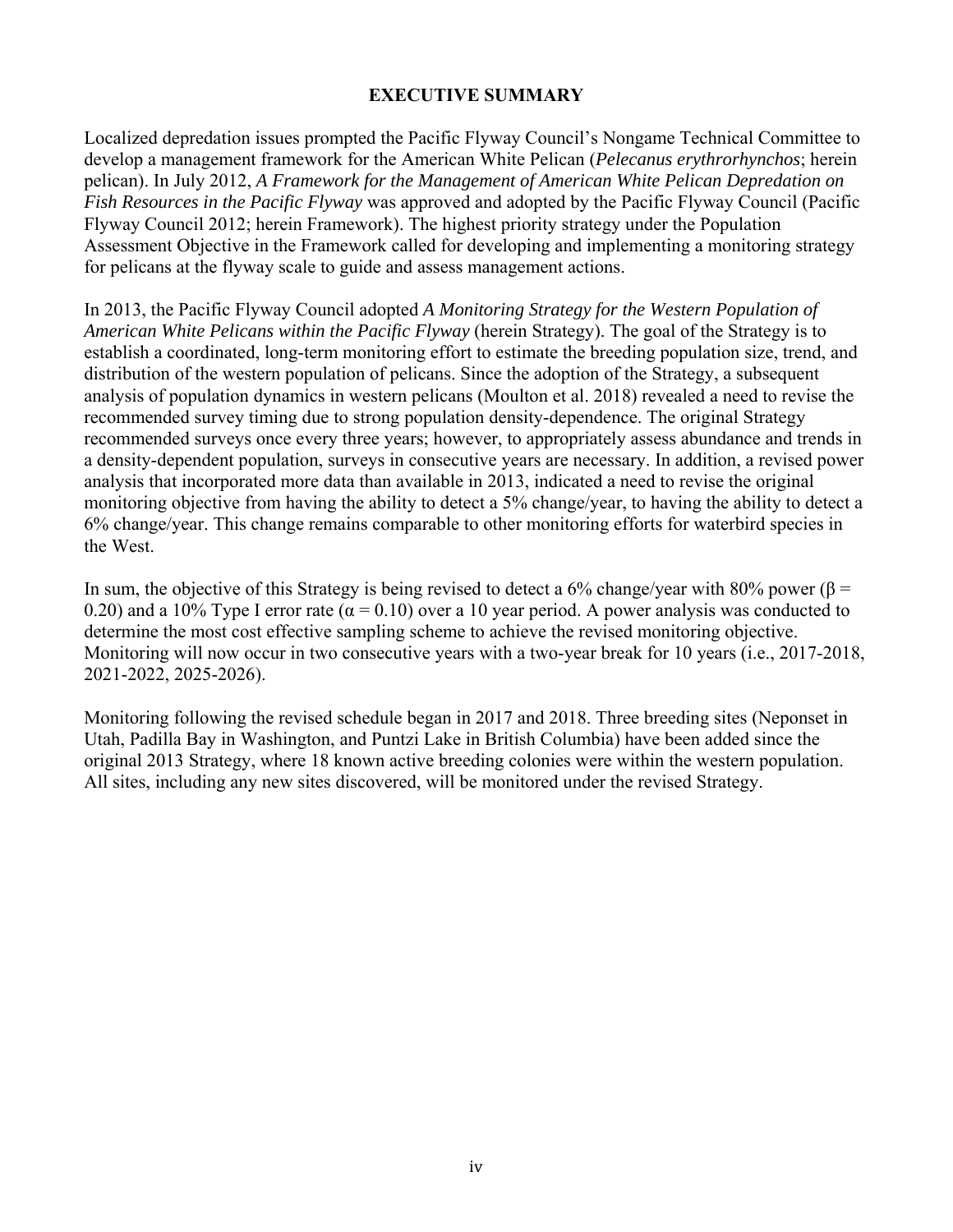#### **EXECUTIVE SUMMARY**

Localized depredation issues prompted the Pacific Flyway Council's Nongame Technical Committee to develop a management framework for the American White Pelican (*Pelecanus erythrorhynchos*; herein pelican). In July 2012, *A Framework for the Management of American White Pelican Depredation on Fish Resources in the Pacific Flyway* was approved and adopted by the Pacific Flyway Council (Pacific Flyway Council 2012; herein Framework). The highest priority strategy under the Population Assessment Objective in the Framework called for developing and implementing a monitoring strategy for pelicans at the flyway scale to guide and assess management actions.

In 2013, the Pacific Flyway Council adopted *A Monitoring Strategy for the Western Population of American White Pelicans within the Pacific Flyway* (herein Strategy). The goal of the Strategy is to establish a coordinated, long-term monitoring effort to estimate the breeding population size, trend, and distribution of the western population of pelicans. Since the adoption of the Strategy, a subsequent analysis of population dynamics in western pelicans (Moulton et al. 2018) revealed a need to revise the recommended survey timing due to strong population density-dependence. The original Strategy recommended surveys once every three years; however, to appropriately assess abundance and trends in a density-dependent population, surveys in consecutive years are necessary. In addition, a revised power analysis that incorporated more data than available in 2013, indicated a need to revise the original monitoring objective from having the ability to detect a 5% change/year, to having the ability to detect a 6% change/year. This change remains comparable to other monitoring efforts for waterbird species in the West.

In sum, the objective of this Strategy is being revised to detect a 6% change/year with 80% power ( $\beta$  = 0.20) and a 10% Type I error rate ( $\alpha$  = 0.10) over a 10 year period. A power analysis was conducted to determine the most cost effective sampling scheme to achieve the revised monitoring objective. Monitoring will now occur in two consecutive years with a two-year break for 10 years (i.e., 2017-2018, 2021-2022, 2025-2026).

Monitoring following the revised schedule began in 2017 and 2018. Three breeding sites (Neponset in Utah, Padilla Bay in Washington, and Puntzi Lake in British Columbia) have been added since the original 2013 Strategy, where 18 known active breeding colonies were within the western population. All sites, including any new sites discovered, will be monitored under the revised Strategy.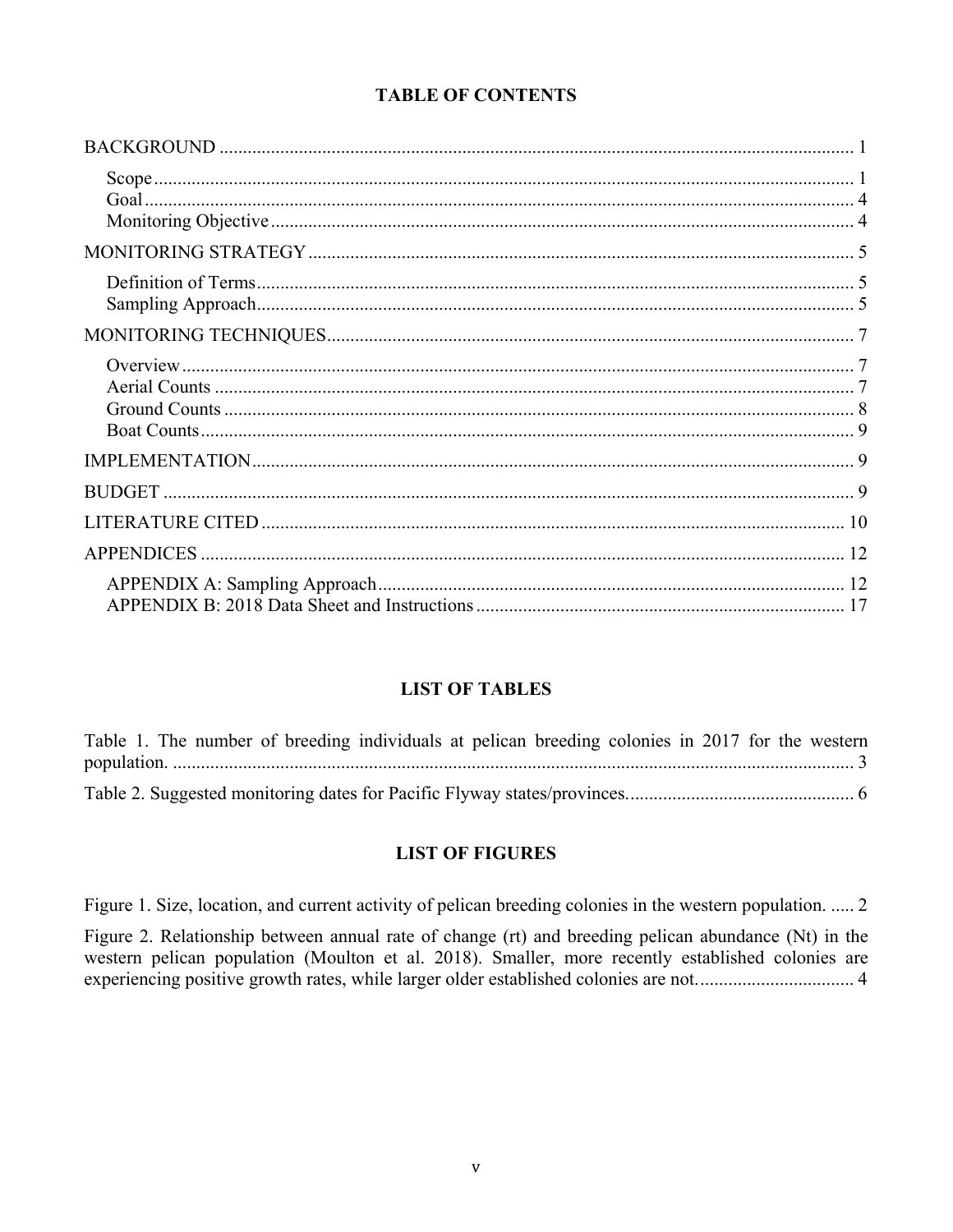#### **TABLE OF CONTENTS**

#### **LIST OF TABLES**

|  |  | Table 1. The number of breeding individuals at pelican breeding colonies in 2017 for the western |  |  |  |  |  |
|--|--|--------------------------------------------------------------------------------------------------|--|--|--|--|--|
|  |  |                                                                                                  |  |  |  |  |  |
|  |  |                                                                                                  |  |  |  |  |  |

#### **LIST OF FIGURES**

Figure 1. Size, location, and current activity of pelican breeding colonies in the western population. ..... 2

Figure 2. Relationship between annual rate of change (rt) and breeding pelican abundance (Nt) in the western pelican population (Moulton et al. 2018). Smaller, more recently established colonies are experiencing positive growth rates, while larger older established colonies are not................................ 4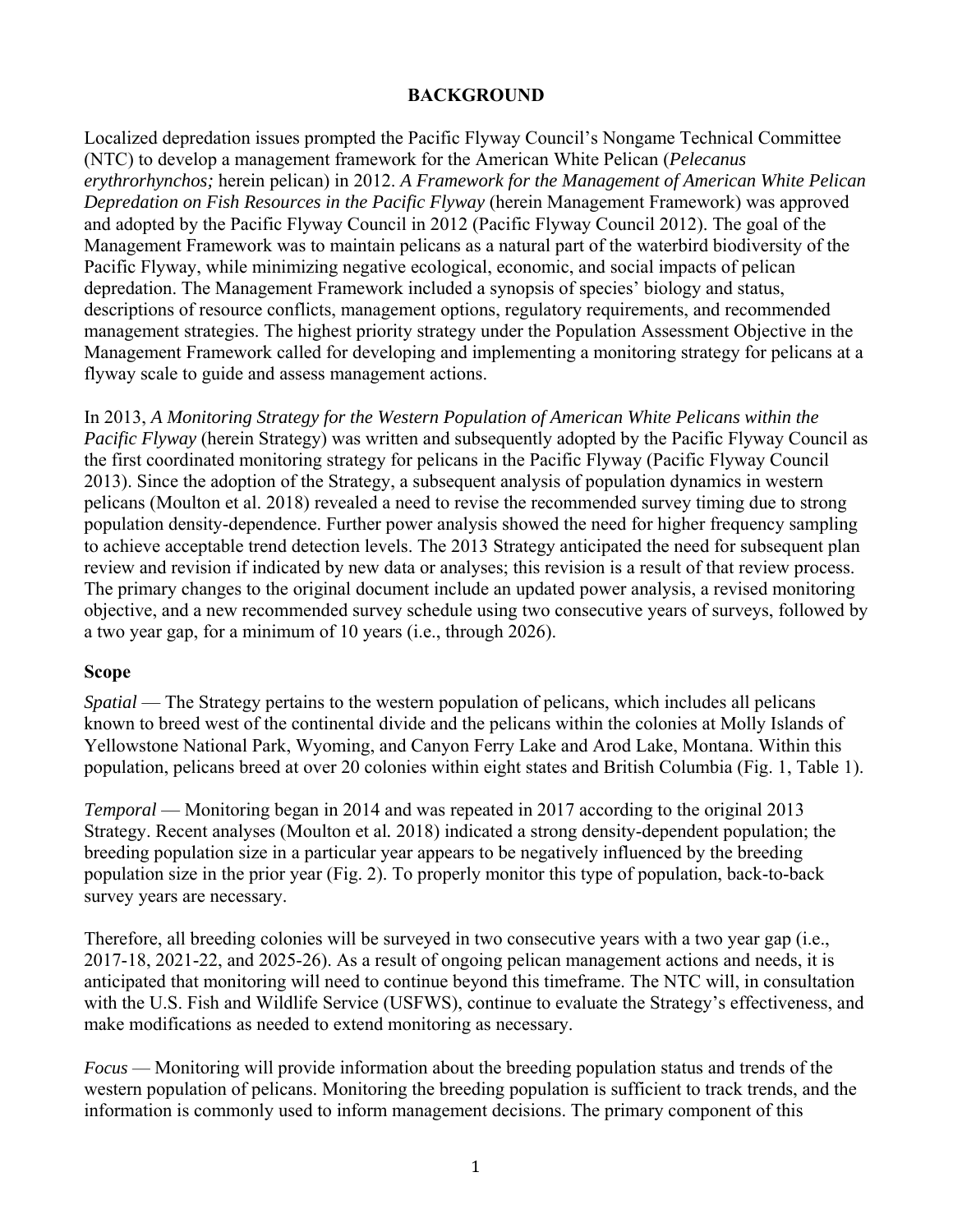#### **BACKGROUND**

Localized depredation issues prompted the Pacific Flyway Council's Nongame Technical Committee (NTC) to develop a management framework for the American White Pelican (*Pelecanus erythrorhynchos;* herein pelican) in 2012. *A Framework for the Management of American White Pelican Depredation on Fish Resources in the Pacific Flyway* (herein Management Framework) was approved and adopted by the Pacific Flyway Council in 2012 (Pacific Flyway Council 2012). The goal of the Management Framework was to maintain pelicans as a natural part of the waterbird biodiversity of the Pacific Flyway, while minimizing negative ecological, economic, and social impacts of pelican depredation. The Management Framework included a synopsis of species' biology and status, descriptions of resource conflicts, management options, regulatory requirements, and recommended management strategies. The highest priority strategy under the Population Assessment Objective in the Management Framework called for developing and implementing a monitoring strategy for pelicans at a flyway scale to guide and assess management actions.

In 2013, *A Monitoring Strategy for the Western Population of American White Pelicans within the Pacific Flyway* (herein Strategy) was written and subsequently adopted by the Pacific Flyway Council as the first coordinated monitoring strategy for pelicans in the Pacific Flyway (Pacific Flyway Council 2013). Since the adoption of the Strategy, a subsequent analysis of population dynamics in western pelicans (Moulton et al. 2018) revealed a need to revise the recommended survey timing due to strong population density-dependence. Further power analysis showed the need for higher frequency sampling to achieve acceptable trend detection levels. The 2013 Strategy anticipated the need for subsequent plan review and revision if indicated by new data or analyses; this revision is a result of that review process. The primary changes to the original document include an updated power analysis, a revised monitoring objective, and a new recommended survey schedule using two consecutive years of surveys, followed by a two year gap, for a minimum of 10 years (i.e., through 2026).

#### **Scope**

*Spatial* — The Strategy pertains to the western population of pelicans, which includes all pelicans known to breed west of the continental divide and the pelicans within the colonies at Molly Islands of Yellowstone National Park, Wyoming, and Canyon Ferry Lake and Arod Lake, Montana. Within this population, pelicans breed at over 20 colonies within eight states and British Columbia (Fig. 1, Table 1).

*Temporal* — Monitoring began in 2014 and was repeated in 2017 according to the original 2013 Strategy. Recent analyses (Moulton et al*.* 2018) indicated a strong density-dependent population; the breeding population size in a particular year appears to be negatively influenced by the breeding population size in the prior year (Fig. 2). To properly monitor this type of population, back-to-back survey years are necessary.

Therefore, all breeding colonies will be surveyed in two consecutive years with a two year gap (i.e., 2017-18, 2021-22, and 2025-26). As a result of ongoing pelican management actions and needs, it is anticipated that monitoring will need to continue beyond this timeframe. The NTC will, in consultation with the U.S. Fish and Wildlife Service (USFWS), continue to evaluate the Strategy's effectiveness, and make modifications as needed to extend monitoring as necessary.

*Focus* — Monitoring will provide information about the breeding population status and trends of the western population of pelicans. Monitoring the breeding population is sufficient to track trends, and the information is commonly used to inform management decisions. The primary component of this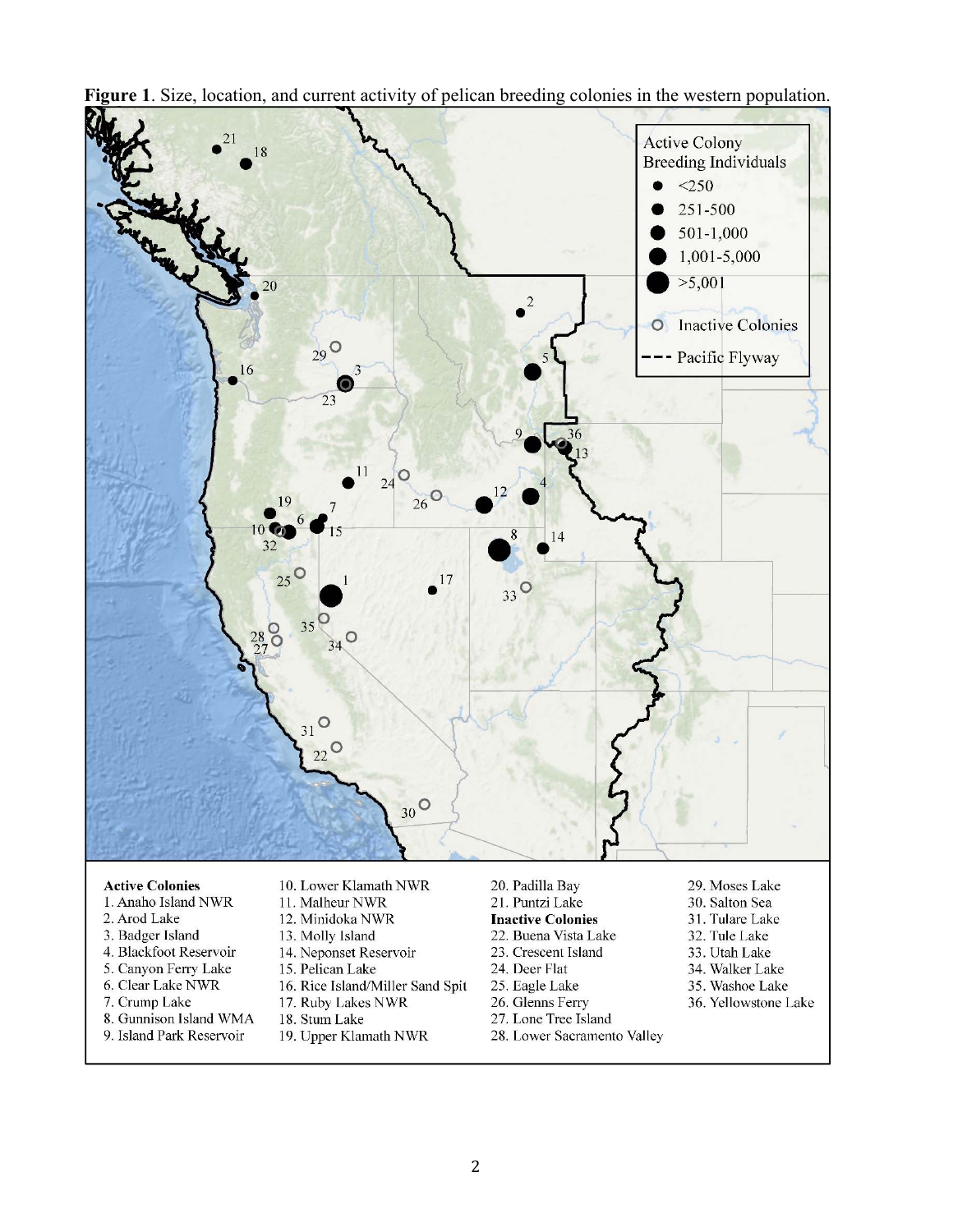

**Figure 1**. Size, location, and current activity of pelican breeding colonies in the western population.

#### **Active Colonies**

- 1. Anaho Island NWR
- 2. Arod Lake
- 3. Badger Island
- 4. Blackfoot Reservoir
- 5. Canyon Ferry Lake
- 6. Clear Lake NWR
- 7. Crump Lake
- 8. Gunnison Island WMA
- 9. Island Park Reservoir
- 10. Lower Klamath NWR
- 11. Malheur NWR
- 12. Minidoka NWR
- 13. Molly Island
- 14. Neponset Reservoir
- 15. Pelican Lake
- 16. Rice Island/Miller Sand Spit
- 17. Ruby Lakes NWR
- 18. Stum Lake
- 19. Upper Klamath NWR
- 20. Padilla Bay 21. Puntzi Lake
- **Inactive Colonies**
- 22. Buena Vista Lake
- 
- 23. Crescent Island
- 24. Deer Flat
- 25. Eagle Lake
- 26. Glenns Ferry
- 27. Lone Tree Island
- 28. Lower Sacramento Valley
- 29. Moses Lake 30. Salton Sea
- 31. Tulare Lake
- 32. Tule Lake
- 33. Utah Lake
- 34. Walker Lake
- 35. Washoe Lake
- 36. Yellowstone Lake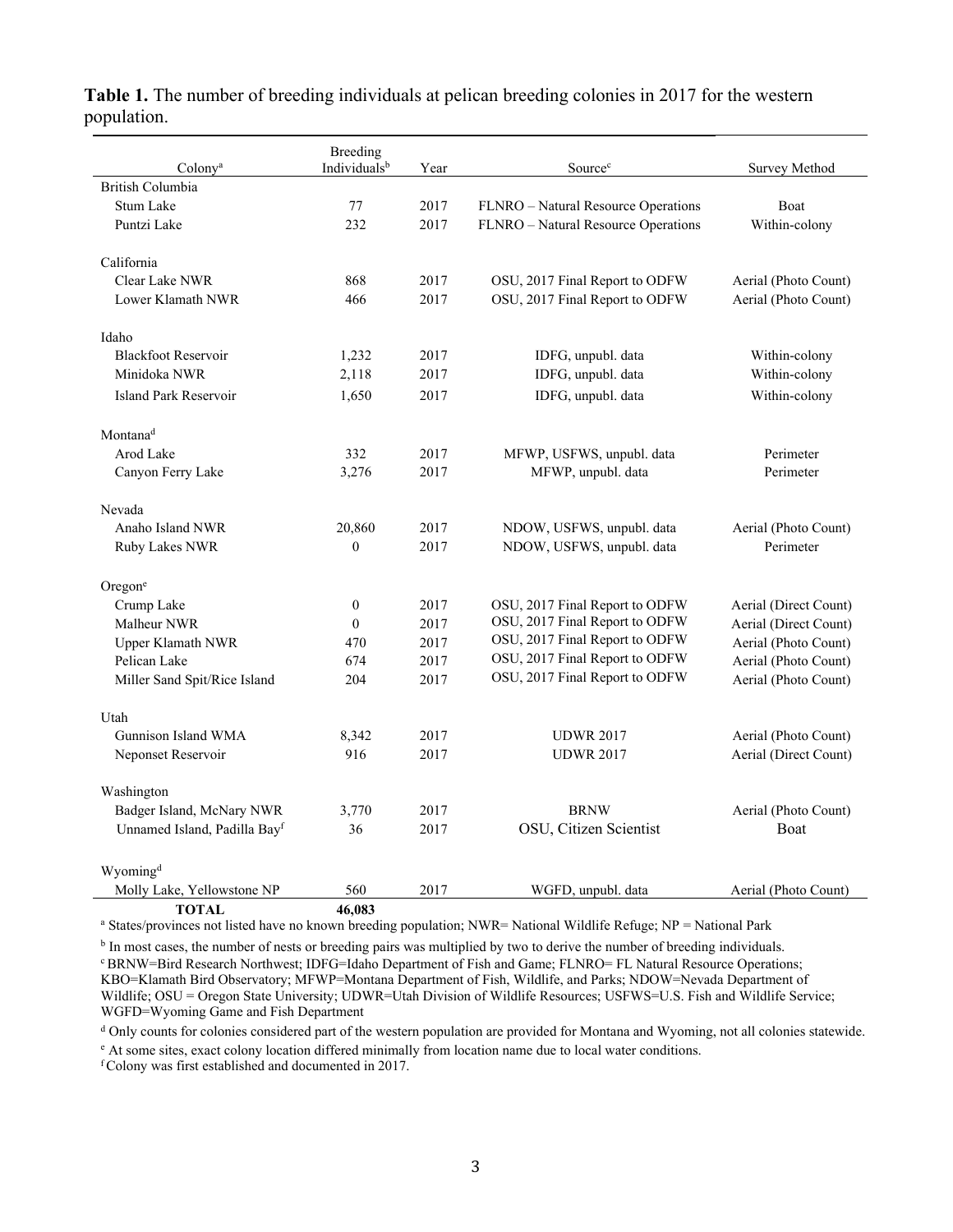|                              | <b>Breeding</b>  |      |                                     |                       |  |  |
|------------------------------|------------------|------|-------------------------------------|-----------------------|--|--|
| Colony <sup>a</sup>          | Individualsb     | Year | Source <sup>c</sup>                 | Survey Method         |  |  |
| British Columbia             |                  |      |                                     |                       |  |  |
| Stum Lake                    | 77               | 2017 | FLNRO - Natural Resource Operations | <b>Boat</b>           |  |  |
| Puntzi Lake                  | 232              | 2017 | FLNRO - Natural Resource Operations | Within-colony         |  |  |
| California                   |                  |      |                                     |                       |  |  |
| Clear Lake NWR               | 868              | 2017 | OSU, 2017 Final Report to ODFW      | Aerial (Photo Count)  |  |  |
| Lower Klamath NWR            | 466              | 2017 | OSU, 2017 Final Report to ODFW      | Aerial (Photo Count)  |  |  |
|                              |                  |      |                                     |                       |  |  |
| Idaho                        |                  |      |                                     |                       |  |  |
| <b>Blackfoot Reservoir</b>   | 1,232            | 2017 | IDFG, unpubl. data                  | Within-colony         |  |  |
| Minidoka NWR                 | 2,118            | 2017 | IDFG, unpubl. data                  | Within-colony         |  |  |
| Island Park Reservoir        | 1,650            | 2017 | IDFG, unpubl. data                  | Within-colony         |  |  |
|                              |                  |      |                                     |                       |  |  |
| Montana <sup>d</sup>         |                  |      |                                     |                       |  |  |
| Arod Lake                    | 332              | 2017 | MFWP, USFWS, unpubl. data           | Perimeter             |  |  |
| Canyon Ferry Lake            | 3,276            | 2017 | MFWP, unpubl. data                  | Perimeter             |  |  |
|                              |                  |      |                                     |                       |  |  |
| Nevada                       |                  |      |                                     |                       |  |  |
| Anaho Island NWR             | 20,860           | 2017 | NDOW, USFWS, unpubl. data           | Aerial (Photo Count)  |  |  |
| Ruby Lakes NWR               | $\mathbf{0}$     | 2017 | NDOW, USFWS, unpubl. data           | Perimeter             |  |  |
| Oregone                      |                  |      |                                     |                       |  |  |
| Crump Lake                   | $\boldsymbol{0}$ | 2017 | OSU, 2017 Final Report to ODFW      | Aerial (Direct Count) |  |  |
| Malheur NWR                  | $\theta$         | 2017 | OSU, 2017 Final Report to ODFW      | Aerial (Direct Count) |  |  |
| <b>Upper Klamath NWR</b>     | 470              | 2017 | OSU, 2017 Final Report to ODFW      | Aerial (Photo Count)  |  |  |
| Pelican Lake                 | 674              | 2017 | OSU, 2017 Final Report to ODFW      | Aerial (Photo Count)  |  |  |
| Miller Sand Spit/Rice Island | 204              | 2017 | OSU, 2017 Final Report to ODFW      | Aerial (Photo Count)  |  |  |
|                              |                  |      |                                     |                       |  |  |
| Utah                         |                  |      |                                     |                       |  |  |
| Gunnison Island WMA          | 8,342            | 2017 | <b>UDWR 2017</b>                    | Aerial (Photo Count)  |  |  |
| Neponset Reservoir           | 916              | 2017 | <b>UDWR 2017</b>                    | Aerial (Direct Count) |  |  |
|                              |                  |      |                                     |                       |  |  |
| Washington                   |                  |      |                                     |                       |  |  |
| Badger Island, McNary NWR    | 3,770            | 2017 | <b>BRNW</b>                         | Aerial (Photo Count)  |  |  |
| Unnamed Island, Padilla Bayf | 36               | 2017 | OSU, Citizen Scientist              | <b>Boat</b>           |  |  |
|                              |                  |      |                                     |                       |  |  |
| Wyoming <sup>d</sup>         |                  |      |                                     |                       |  |  |
| Molly Lake, Yellowstone NP   | 560              | 2017 | WGFD, unpubl. data                  | Aerial (Photo Count)  |  |  |
| <b>TOTAL</b>                 | 46,083           |      |                                     |                       |  |  |

#### **Table 1.** The number of breeding individuals at pelican breeding colonies in 2017 for the western population.

a States/provinces not listed have no known breeding population; NWR= National Wildlife Refuge; NP = National Park

<sup>b</sup> In most cases, the number of nests or breeding pairs was multiplied by two to derive the number of breeding individuals.<br>
<sup>c</sup> BRNW=Bird Research Northwest; IDFG=Idaho Department of Fish and Game; FLNRO= FL Natural Reso KBO=Klamath Bird Observatory; MFWP=Montana Department of Fish, Wildlife, and Parks; NDOW=Nevada Department of Wildlife; OSU = Oregon State University; UDWR=Utah Division of Wildlife Resources; USFWS=U.S. Fish and Wildlife Service; WGFD=Wyoming Game and Fish Department

<sup>d</sup> Only counts for colonies considered part of the western population are provided for Montana and Wyoming, not all colonies statewide.

At some sites, exact colony location differed minimally from location name due to local water conditions. f Colony was first established and documented in 2017.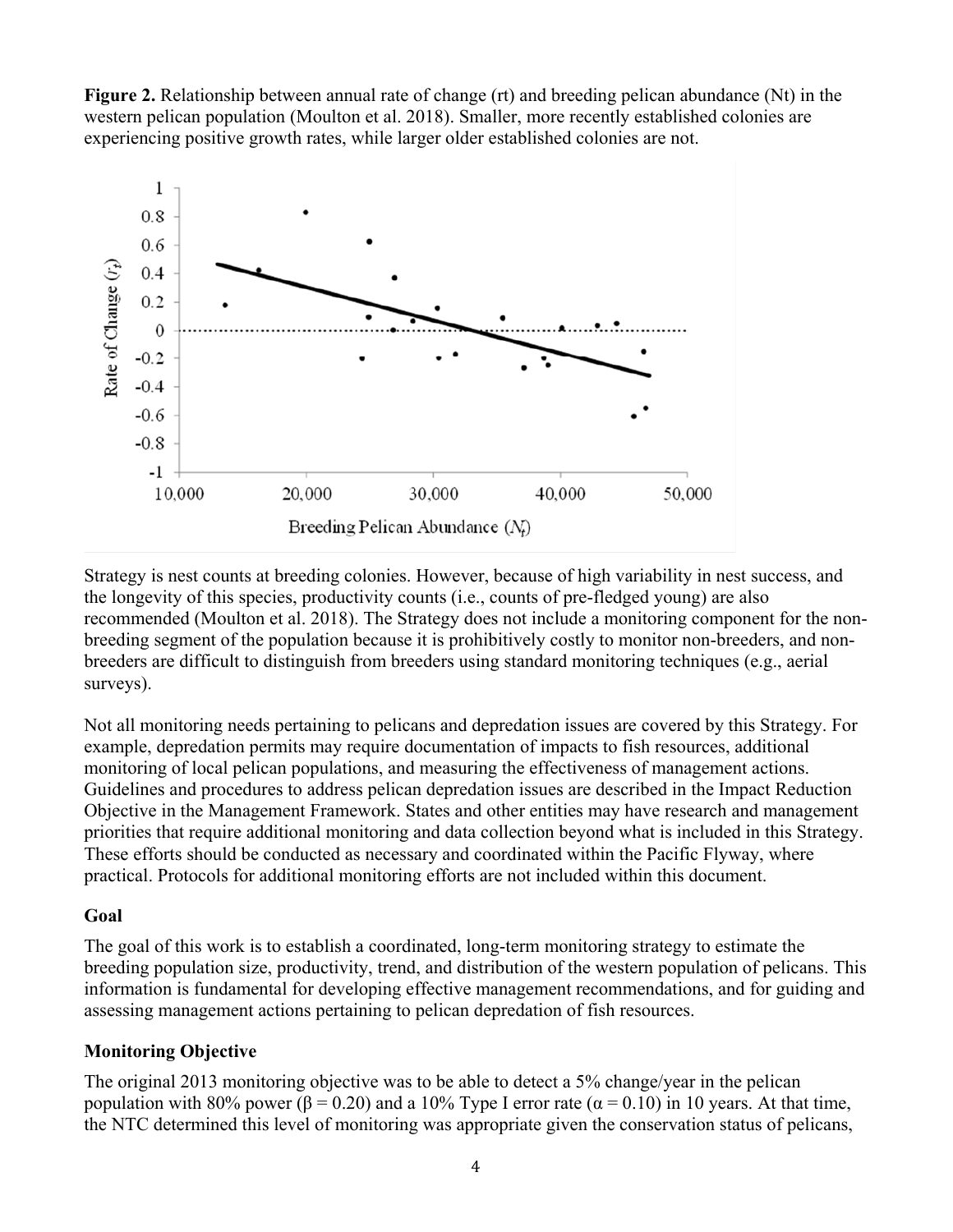



Strategy is nest counts at breeding colonies. However, because of high variability in nest success, and the longevity of this species, productivity counts (i.e., counts of pre-fledged young) are also recommended (Moulton et al. 2018). The Strategy does not include a monitoring component for the nonbreeding segment of the population because it is prohibitively costly to monitor non-breeders, and nonbreeders are difficult to distinguish from breeders using standard monitoring techniques (e.g., aerial surveys).

Not all monitoring needs pertaining to pelicans and depredation issues are covered by this Strategy. For example, depredation permits may require documentation of impacts to fish resources, additional monitoring of local pelican populations, and measuring the effectiveness of management actions. Guidelines and procedures to address pelican depredation issues are described in the Impact Reduction Objective in the Management Framework. States and other entities may have research and management priorities that require additional monitoring and data collection beyond what is included in this Strategy. These efforts should be conducted as necessary and coordinated within the Pacific Flyway, where practical. Protocols for additional monitoring efforts are not included within this document.

#### **Goal**

The goal of this work is to establish a coordinated, long-term monitoring strategy to estimate the breeding population size, productivity, trend, and distribution of the western population of pelicans. This information is fundamental for developing effective management recommendations, and for guiding and assessing management actions pertaining to pelican depredation of fish resources.

### **Monitoring Objective**

The original 2013 monitoring objective was to be able to detect a 5% change/year in the pelican population with 80% power (β = 0.20) and a 10% Type I error rate ( $\alpha$  = 0.10) in 10 years. At that time, the NTC determined this level of monitoring was appropriate given the conservation status of pelicans,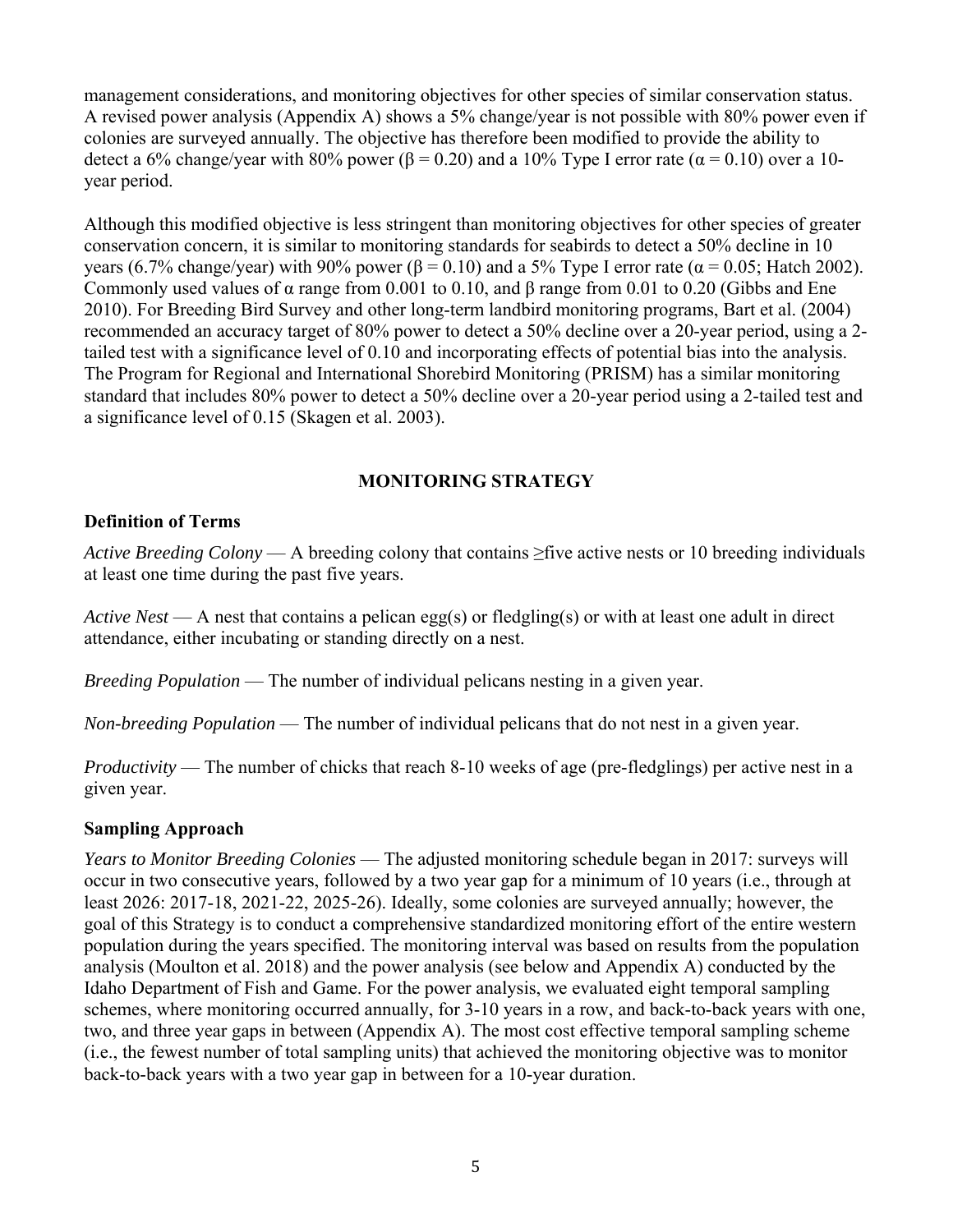management considerations, and monitoring objectives for other species of similar conservation status. A revised power analysis (Appendix A) shows a 5% change/year is not possible with 80% power even if colonies are surveyed annually. The objective has therefore been modified to provide the ability to detect a 6% change/year with 80% power ( $\beta$  = 0.20) and a 10% Type I error rate ( $\alpha$  = 0.10) over a 10year period.

Although this modified objective is less stringent than monitoring objectives for other species of greater conservation concern, it is similar to monitoring standards for seabirds to detect a 50% decline in 10 years (6.7% change/year) with 90% power (β = 0.10) and a 5% Type I error rate ( $\alpha$  = 0.05; Hatch 2002). Commonly used values of α range from 0.001 to 0.10, and β range from 0.01 to 0.20 (Gibbs and Ene 2010). For Breeding Bird Survey and other long-term landbird monitoring programs, Bart et al. (2004) recommended an accuracy target of 80% power to detect a 50% decline over a 20-year period, using a 2 tailed test with a significance level of 0.10 and incorporating effects of potential bias into the analysis. The Program for Regional and International Shorebird Monitoring (PRISM) has a similar monitoring standard that includes 80% power to detect a 50% decline over a 20-year period using a 2-tailed test and a significance level of 0.15 (Skagen et al. 2003).

### **MONITORING STRATEGY**

#### **Definition of Terms**

*Active Breeding Colony* — A breeding colony that contains ≥five active nests or 10 breeding individuals at least one time during the past five years.

*Active Nest* — A nest that contains a pelican egg(s) or fledgling(s) or with at least one adult in direct attendance, either incubating or standing directly on a nest.

*Breeding Population* — The number of individual pelicans nesting in a given year.

*Non-breeding Population* — The number of individual pelicans that do not nest in a given year.

*Productivity* — The number of chicks that reach 8-10 weeks of age (pre-fledglings) per active nest in a given year.

#### **Sampling Approach**

*Years to Monitor Breeding Colonies* — The adjusted monitoring schedule began in 2017: surveys will occur in two consecutive years, followed by a two year gap for a minimum of 10 years (i.e., through at least 2026: 2017-18, 2021-22, 2025-26). Ideally, some colonies are surveyed annually; however, the goal of this Strategy is to conduct a comprehensive standardized monitoring effort of the entire western population during the years specified. The monitoring interval was based on results from the population analysis (Moulton et al. 2018) and the power analysis (see below and Appendix A) conducted by the Idaho Department of Fish and Game. For the power analysis, we evaluated eight temporal sampling schemes, where monitoring occurred annually, for 3-10 years in a row, and back-to-back years with one, two, and three year gaps in between (Appendix A). The most cost effective temporal sampling scheme (i.e., the fewest number of total sampling units) that achieved the monitoring objective was to monitor back-to-back years with a two year gap in between for a 10-year duration.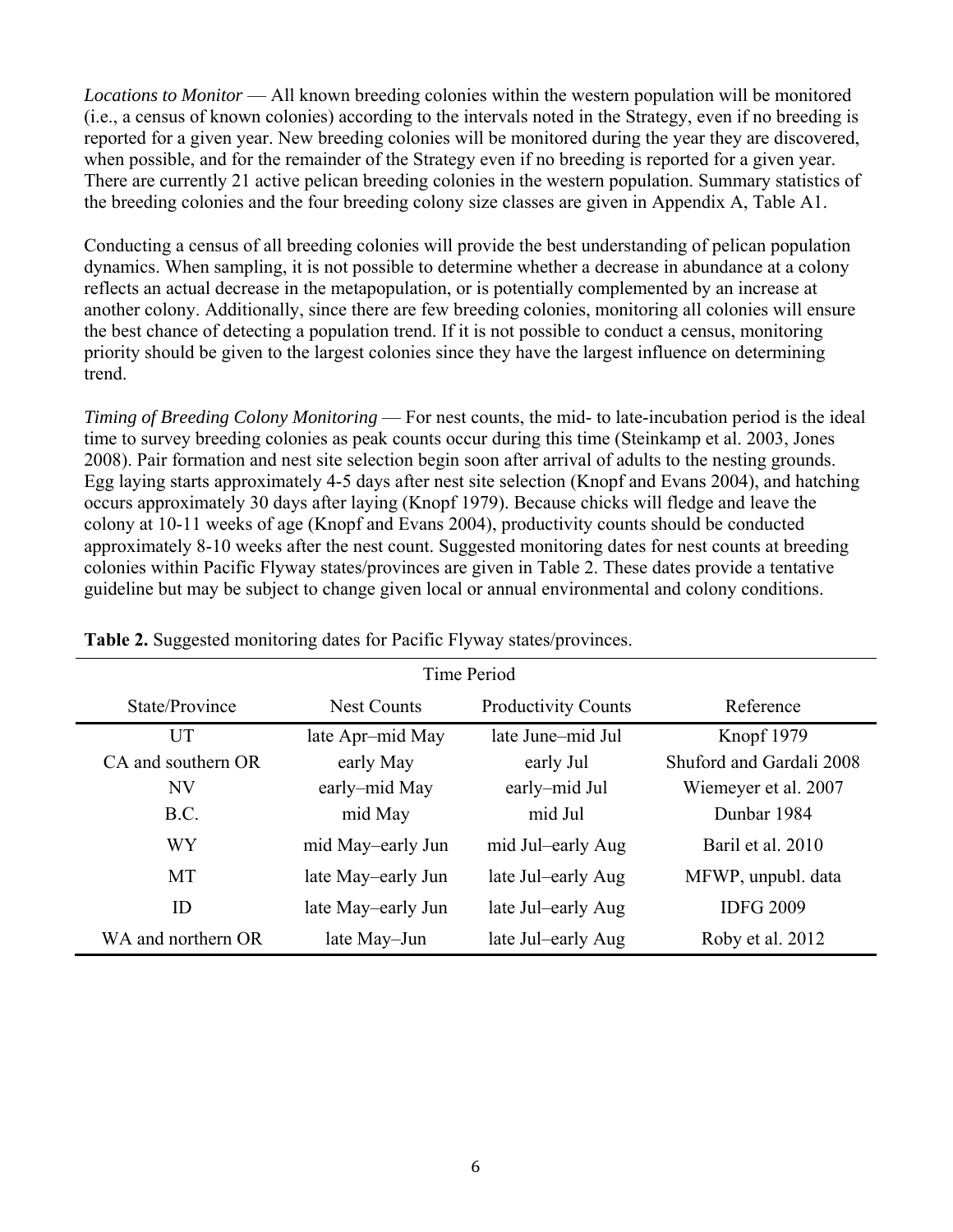*Locations to Monitor* — All known breeding colonies within the western population will be monitored (i.e., a census of known colonies) according to the intervals noted in the Strategy, even if no breeding is reported for a given year. New breeding colonies will be monitored during the year they are discovered, when possible, and for the remainder of the Strategy even if no breeding is reported for a given year. There are currently 21 active pelican breeding colonies in the western population. Summary statistics of the breeding colonies and the four breeding colony size classes are given in Appendix A, Table A1.

Conducting a census of all breeding colonies will provide the best understanding of pelican population dynamics. When sampling, it is not possible to determine whether a decrease in abundance at a colony reflects an actual decrease in the metapopulation, or is potentially complemented by an increase at another colony. Additionally, since there are few breeding colonies, monitoring all colonies will ensure the best chance of detecting a population trend. If it is not possible to conduct a census, monitoring priority should be given to the largest colonies since they have the largest influence on determining trend.

*Timing of Breeding Colony Monitoring* — For nest counts, the mid- to late-incubation period is the ideal time to survey breeding colonies as peak counts occur during this time (Steinkamp et al. 2003, Jones 2008). Pair formation and nest site selection begin soon after arrival of adults to the nesting grounds. Egg laying starts approximately 4-5 days after nest site selection (Knopf and Evans 2004), and hatching occurs approximately 30 days after laying (Knopf 1979). Because chicks will fledge and leave the colony at 10-11 weeks of age (Knopf and Evans 2004), productivity counts should be conducted approximately 8-10 weeks after the nest count. Suggested monitoring dates for nest counts at breeding colonies within Pacific Flyway states/provinces are given in Table 2. These dates provide a tentative guideline but may be subject to change given local or annual environmental and colony conditions.

| Time Period        |                    |                            |                          |  |  |  |  |  |  |
|--------------------|--------------------|----------------------------|--------------------------|--|--|--|--|--|--|
| State/Province     | <b>Nest Counts</b> | <b>Productivity Counts</b> | Reference                |  |  |  |  |  |  |
| UT                 | late Apr-mid May   | late June-mid Jul          | Knopf 1979               |  |  |  |  |  |  |
| CA and southern OR | early May          | early Jul                  | Shuford and Gardali 2008 |  |  |  |  |  |  |
| <b>NV</b>          | early-mid May      | early-mid Jul              | Wiemeyer et al. 2007     |  |  |  |  |  |  |
| B.C.               | mid May            | mid Jul                    | Dunbar 1984              |  |  |  |  |  |  |
| <b>WY</b>          | mid May-early Jun  | mid Jul-early Aug          | Baril et al. 2010        |  |  |  |  |  |  |
| <b>MT</b>          | late May-early Jun | late Jul-early Aug         | MFWP, unpubl. data       |  |  |  |  |  |  |
| ID                 | late May-early Jun | late Jul-early Aug         | <b>IDFG 2009</b>         |  |  |  |  |  |  |
| WA and northern OR | late May-Jun       | late Jul-early Aug         | Roby et al. 2012         |  |  |  |  |  |  |

**Table 2.** Suggested monitoring dates for Pacific Flyway states/provinces.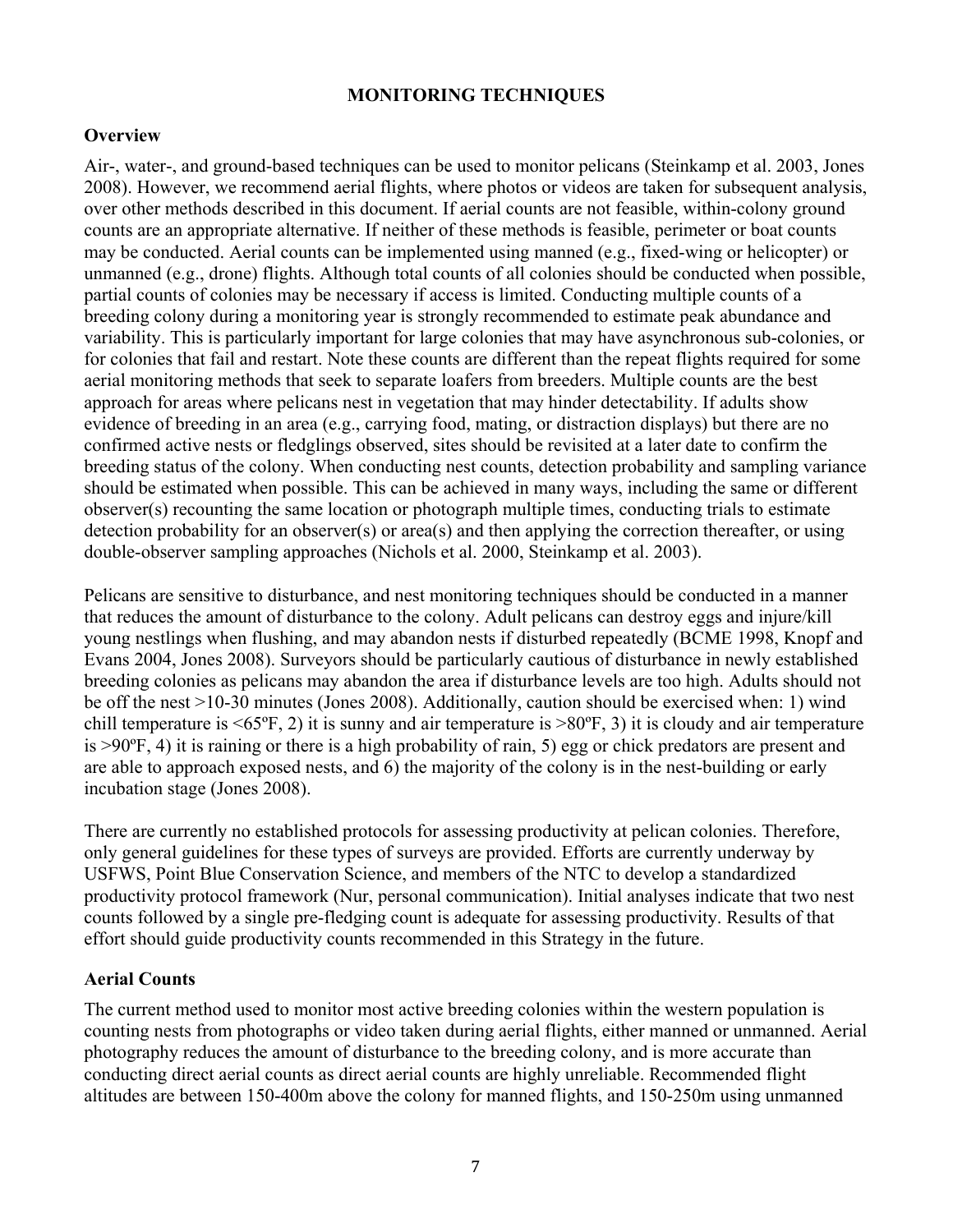#### **MONITORING TECHNIQUES**

#### **Overview**

Air-, water-, and ground-based techniques can be used to monitor pelicans (Steinkamp et al. 2003, Jones 2008). However, we recommend aerial flights, where photos or videos are taken for subsequent analysis, over other methods described in this document. If aerial counts are not feasible, within-colony ground counts are an appropriate alternative. If neither of these methods is feasible, perimeter or boat counts may be conducted. Aerial counts can be implemented using manned (e.g., fixed-wing or helicopter) or unmanned (e.g., drone) flights. Although total counts of all colonies should be conducted when possible, partial counts of colonies may be necessary if access is limited. Conducting multiple counts of a breeding colony during a monitoring year is strongly recommended to estimate peak abundance and variability. This is particularly important for large colonies that may have asynchronous sub-colonies, or for colonies that fail and restart. Note these counts are different than the repeat flights required for some aerial monitoring methods that seek to separate loafers from breeders. Multiple counts are the best approach for areas where pelicans nest in vegetation that may hinder detectability. If adults show evidence of breeding in an area (e.g., carrying food, mating, or distraction displays) but there are no confirmed active nests or fledglings observed, sites should be revisited at a later date to confirm the breeding status of the colony. When conducting nest counts, detection probability and sampling variance should be estimated when possible. This can be achieved in many ways, including the same or different observer(s) recounting the same location or photograph multiple times, conducting trials to estimate detection probability for an observer(s) or area(s) and then applying the correction thereafter, or using double-observer sampling approaches (Nichols et al. 2000, Steinkamp et al. 2003).

Pelicans are sensitive to disturbance, and nest monitoring techniques should be conducted in a manner that reduces the amount of disturbance to the colony. Adult pelicans can destroy eggs and injure/kill young nestlings when flushing, and may abandon nests if disturbed repeatedly (BCME 1998, Knopf and Evans 2004, Jones 2008). Surveyors should be particularly cautious of disturbance in newly established breeding colonies as pelicans may abandon the area if disturbance levels are too high. Adults should not be off the nest >10-30 minutes (Jones 2008). Additionally, caution should be exercised when: 1) wind chill temperature is  $\leq 65^\circ$ F, 2) it is sunny and air temperature is  $> 80^\circ$ F, 3) it is cloudy and air temperature is >90ºF, 4) it is raining or there is a high probability of rain, 5) egg or chick predators are present and are able to approach exposed nests, and 6) the majority of the colony is in the nest-building or early incubation stage (Jones 2008).

There are currently no established protocols for assessing productivity at pelican colonies. Therefore, only general guidelines for these types of surveys are provided. Efforts are currently underway by USFWS, Point Blue Conservation Science, and members of the NTC to develop a standardized productivity protocol framework (Nur, personal communication). Initial analyses indicate that two nest counts followed by a single pre-fledging count is adequate for assessing productivity. Results of that effort should guide productivity counts recommended in this Strategy in the future.

#### **Aerial Counts**

The current method used to monitor most active breeding colonies within the western population is counting nests from photographs or video taken during aerial flights, either manned or unmanned. Aerial photography reduces the amount of disturbance to the breeding colony, and is more accurate than conducting direct aerial counts as direct aerial counts are highly unreliable. Recommended flight altitudes are between 150-400m above the colony for manned flights, and 150-250m using unmanned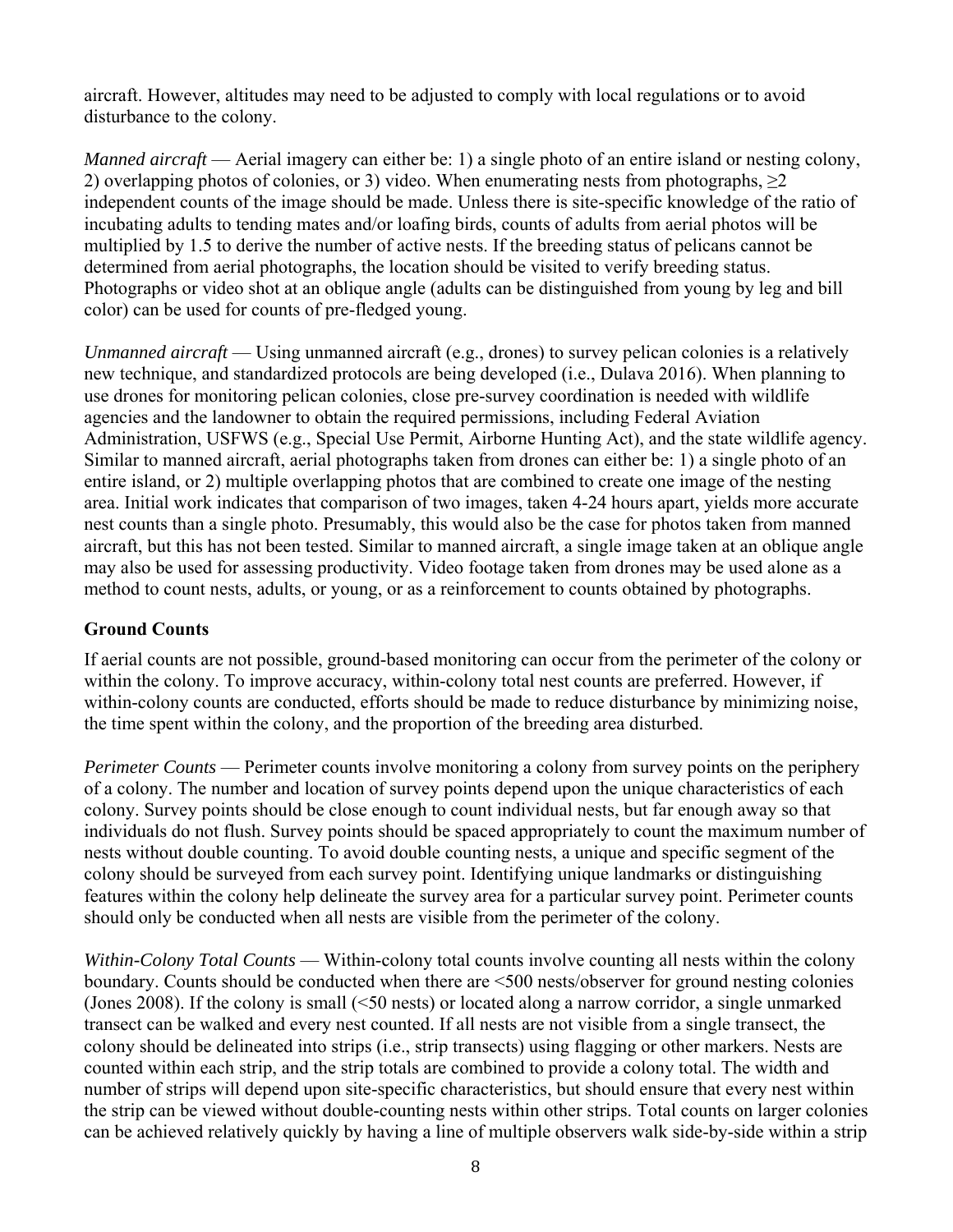aircraft. However, altitudes may need to be adjusted to comply with local regulations or to avoid disturbance to the colony.

*Manned aircraft* — Aerial imagery can either be: 1) a single photo of an entire island or nesting colony, 2) overlapping photos of colonies, or 3) video. When enumerating nests from photographs, ≥2 independent counts of the image should be made. Unless there is site-specific knowledge of the ratio of incubating adults to tending mates and/or loafing birds, counts of adults from aerial photos will be multiplied by 1.5 to derive the number of active nests. If the breeding status of pelicans cannot be determined from aerial photographs, the location should be visited to verify breeding status. Photographs or video shot at an oblique angle (adults can be distinguished from young by leg and bill color) can be used for counts of pre-fledged young.

*Unmanned aircraft* — Using unmanned aircraft (e.g., drones) to survey pelican colonies is a relatively new technique, and standardized protocols are being developed (i.e., Dulava 2016). When planning to use drones for monitoring pelican colonies, close pre-survey coordination is needed with wildlife agencies and the landowner to obtain the required permissions, including Federal Aviation Administration, USFWS (e.g., Special Use Permit, Airborne Hunting Act), and the state wildlife agency. Similar to manned aircraft, aerial photographs taken from drones can either be: 1) a single photo of an entire island, or 2) multiple overlapping photos that are combined to create one image of the nesting area. Initial work indicates that comparison of two images, taken 4-24 hours apart, yields more accurate nest counts than a single photo. Presumably, this would also be the case for photos taken from manned aircraft, but this has not been tested. Similar to manned aircraft, a single image taken at an oblique angle may also be used for assessing productivity. Video footage taken from drones may be used alone as a method to count nests, adults, or young, or as a reinforcement to counts obtained by photographs.

#### **Ground Counts**

If aerial counts are not possible, ground-based monitoring can occur from the perimeter of the colony or within the colony. To improve accuracy, within-colony total nest counts are preferred. However, if within-colony counts are conducted, efforts should be made to reduce disturbance by minimizing noise, the time spent within the colony, and the proportion of the breeding area disturbed.

*Perimeter Counts* — Perimeter counts involve monitoring a colony from survey points on the periphery of a colony. The number and location of survey points depend upon the unique characteristics of each colony. Survey points should be close enough to count individual nests, but far enough away so that individuals do not flush. Survey points should be spaced appropriately to count the maximum number of nests without double counting. To avoid double counting nests, a unique and specific segment of the colony should be surveyed from each survey point. Identifying unique landmarks or distinguishing features within the colony help delineate the survey area for a particular survey point. Perimeter counts should only be conducted when all nests are visible from the perimeter of the colony.

*Within-Colony Total Counts* — Within-colony total counts involve counting all nests within the colony boundary. Counts should be conducted when there are <500 nests/observer for ground nesting colonies (Jones 2008). If the colony is small (<50 nests) or located along a narrow corridor, a single unmarked transect can be walked and every nest counted. If all nests are not visible from a single transect, the colony should be delineated into strips (i.e., strip transects) using flagging or other markers. Nests are counted within each strip, and the strip totals are combined to provide a colony total. The width and number of strips will depend upon site-specific characteristics, but should ensure that every nest within the strip can be viewed without double-counting nests within other strips. Total counts on larger colonies can be achieved relatively quickly by having a line of multiple observers walk side-by-side within a strip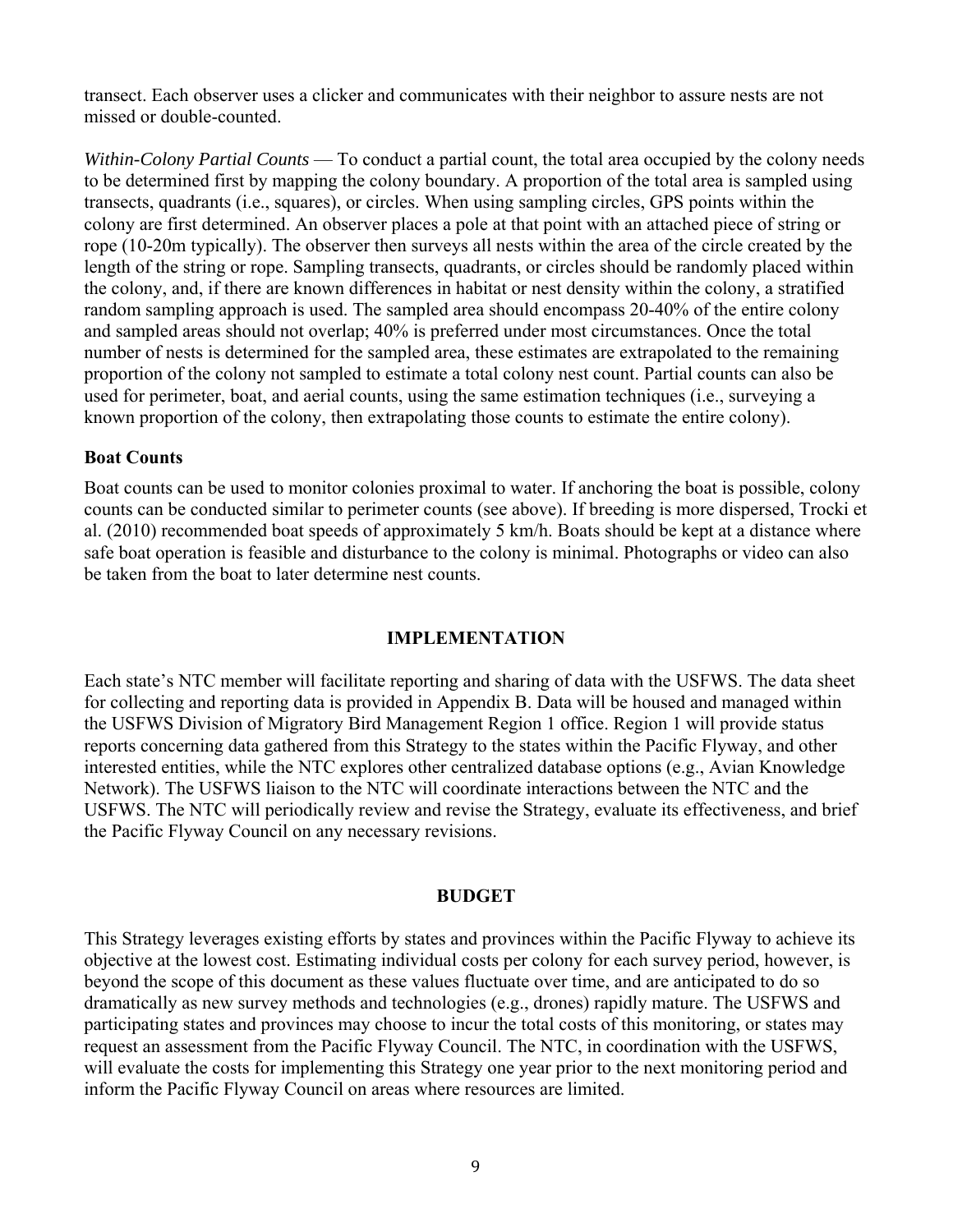transect. Each observer uses a clicker and communicates with their neighbor to assure nests are not missed or double-counted.

*Within-Colony Partial Counts* — To conduct a partial count, the total area occupied by the colony needs to be determined first by mapping the colony boundary. A proportion of the total area is sampled using transects, quadrants (i.e., squares), or circles. When using sampling circles, GPS points within the colony are first determined. An observer places a pole at that point with an attached piece of string or rope (10-20m typically). The observer then surveys all nests within the area of the circle created by the length of the string or rope. Sampling transects, quadrants, or circles should be randomly placed within the colony, and, if there are known differences in habitat or nest density within the colony, a stratified random sampling approach is used. The sampled area should encompass 20-40% of the entire colony and sampled areas should not overlap; 40% is preferred under most circumstances. Once the total number of nests is determined for the sampled area, these estimates are extrapolated to the remaining proportion of the colony not sampled to estimate a total colony nest count. Partial counts can also be used for perimeter, boat, and aerial counts, using the same estimation techniques (i.e., surveying a known proportion of the colony, then extrapolating those counts to estimate the entire colony).

#### **Boat Counts**

Boat counts can be used to monitor colonies proximal to water. If anchoring the boat is possible, colony counts can be conducted similar to perimeter counts (see above). If breeding is more dispersed, Trocki et al. (2010) recommended boat speeds of approximately 5 km/h. Boats should be kept at a distance where safe boat operation is feasible and disturbance to the colony is minimal. Photographs or video can also be taken from the boat to later determine nest counts.

#### **IMPLEMENTATION**

Each state's NTC member will facilitate reporting and sharing of data with the USFWS. The data sheet for collecting and reporting data is provided in Appendix B. Data will be housed and managed within the USFWS Division of Migratory Bird Management Region 1 office. Region 1 will provide status reports concerning data gathered from this Strategy to the states within the Pacific Flyway, and other interested entities, while the NTC explores other centralized database options (e.g., Avian Knowledge Network). The USFWS liaison to the NTC will coordinate interactions between the NTC and the USFWS. The NTC will periodically review and revise the Strategy, evaluate its effectiveness, and brief the Pacific Flyway Council on any necessary revisions.

#### **BUDGET**

This Strategy leverages existing efforts by states and provinces within the Pacific Flyway to achieve its objective at the lowest cost. Estimating individual costs per colony for each survey period, however, is beyond the scope of this document as these values fluctuate over time, and are anticipated to do so dramatically as new survey methods and technologies (e.g., drones) rapidly mature. The USFWS and participating states and provinces may choose to incur the total costs of this monitoring, or states may request an assessment from the Pacific Flyway Council. The NTC, in coordination with the USFWS, will evaluate the costs for implementing this Strategy one year prior to the next monitoring period and inform the Pacific Flyway Council on areas where resources are limited.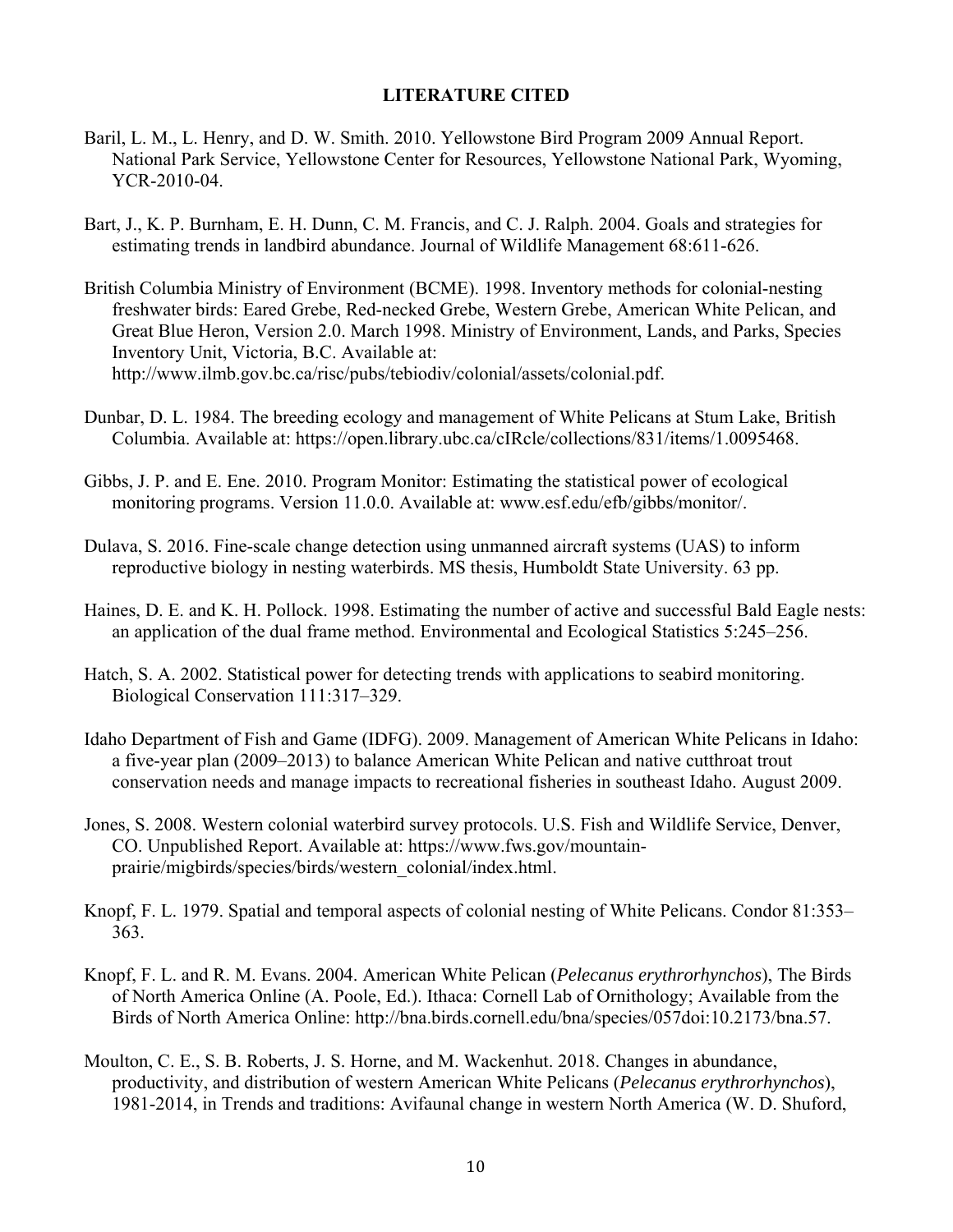#### **LITERATURE CITED**

- Baril, L. M., L. Henry, and D. W. Smith. 2010. Yellowstone Bird Program 2009 Annual Report. National Park Service, Yellowstone Center for Resources, Yellowstone National Park, Wyoming, YCR-2010-04.
- Bart, J., K. P. Burnham, E. H. Dunn, C. M. Francis, and C. J. Ralph. 2004. Goals and strategies for estimating trends in landbird abundance. Journal of Wildlife Management 68:611-626.
- British Columbia Ministry of Environment (BCME). 1998. Inventory methods for colonial-nesting freshwater birds: Eared Grebe, Red-necked Grebe, Western Grebe, American White Pelican, and Great Blue Heron, Version 2.0. March 1998. Ministry of Environment, Lands, and Parks, Species Inventory Unit, Victoria, B.C. Available at: http://www.ilmb.gov.bc.ca/risc/pubs/tebiodiv/colonial/assets/colonial.pdf.
- Dunbar, D. L. 1984. The breeding ecology and management of White Pelicans at Stum Lake, British Columbia. Available at: https://open.library.ubc.ca/cIRcle/collections/831/items/1.0095468.
- Gibbs, J. P. and E. Ene. 2010. Program Monitor: Estimating the statistical power of ecological monitoring programs. Version 11.0.0. Available at: www.esf.edu/efb/gibbs/monitor/.
- Dulava, S. 2016. Fine-scale change detection using unmanned aircraft systems (UAS) to inform reproductive biology in nesting waterbirds. MS thesis, Humboldt State University. 63 pp.
- Haines, D. E. and K. H. Pollock. 1998. Estimating the number of active and successful Bald Eagle nests: an application of the dual frame method. Environmental and Ecological Statistics 5:245–256.
- Hatch, S. A. 2002. Statistical power for detecting trends with applications to seabird monitoring. Biological Conservation 111:317–329.
- Idaho Department of Fish and Game (IDFG). 2009. Management of American White Pelicans in Idaho: a five-year plan (2009–2013) to balance American White Pelican and native cutthroat trout conservation needs and manage impacts to recreational fisheries in southeast Idaho. August 2009.
- Jones, S. 2008. Western colonial waterbird survey protocols. U.S. Fish and Wildlife Service, Denver, CO. Unpublished Report. Available at: https://www.fws.gov/mountainprairie/migbirds/species/birds/western\_colonial/index.html.
- Knopf, F. L. 1979. Spatial and temporal aspects of colonial nesting of White Pelicans. Condor 81:353– 363.
- Knopf, F. L. and R. M. Evans. 2004. American White Pelican (*Pelecanus erythrorhynchos*), The Birds of North America Online (A. Poole, Ed.). Ithaca: Cornell Lab of Ornithology; Available from the Birds of North America Online: http://bna.birds.cornell.edu/bna/species/057doi:10.2173/bna.57.
- Moulton, C. E., S. B. Roberts, J. S. Horne, and M. Wackenhut. 2018. Changes in abundance, productivity, and distribution of western American White Pelicans (*Pelecanus erythrorhynchos*), 1981-2014, in Trends and traditions: Avifaunal change in western North America (W. D. Shuford,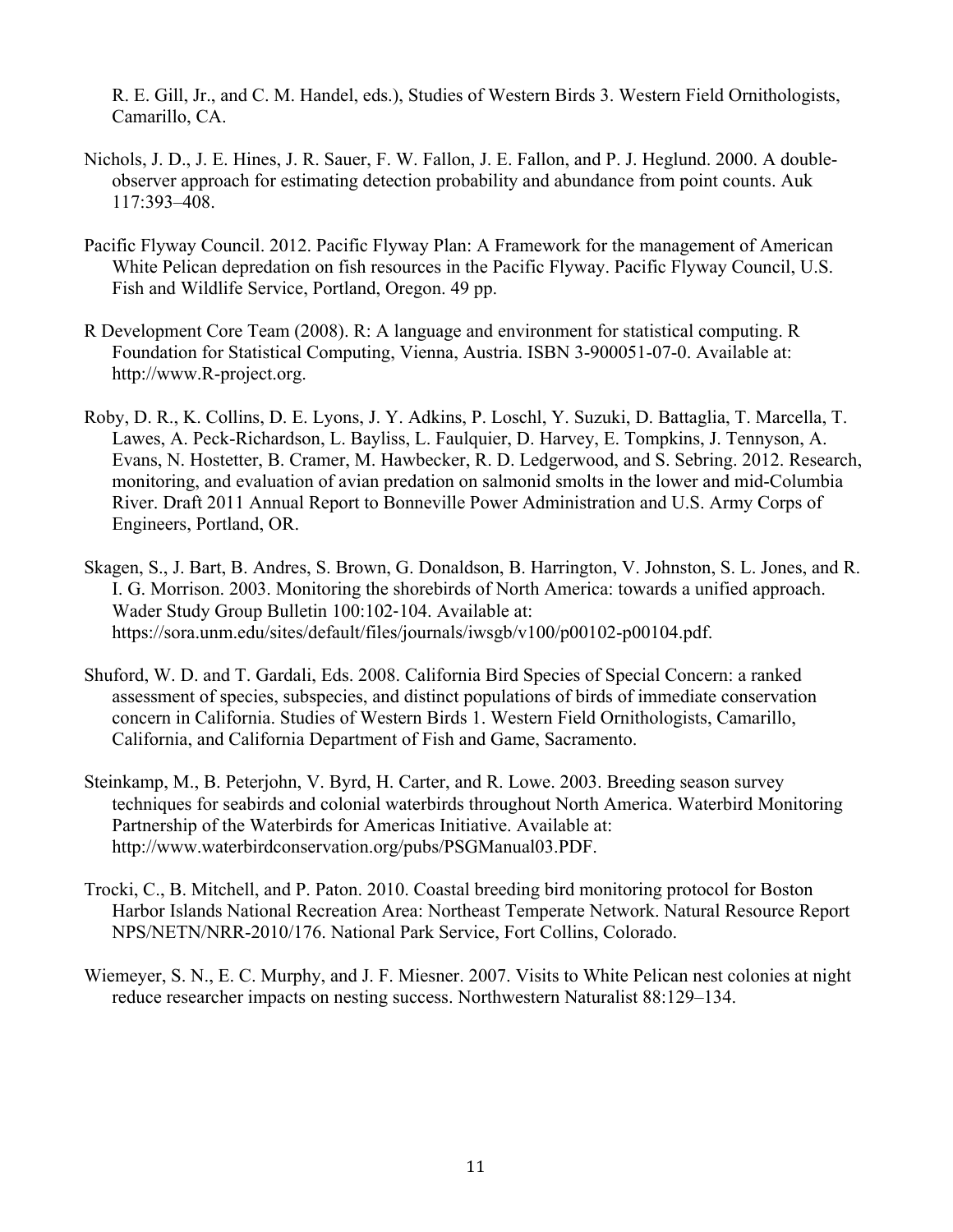R. E. Gill, Jr., and C. M. Handel, eds.), Studies of Western Birds 3. Western Field Ornithologists, Camarillo, CA.

- Nichols, J. D., J. E. Hines, J. R. Sauer, F. W. Fallon, J. E. Fallon, and P. J. Heglund. 2000. A doubleobserver approach for estimating detection probability and abundance from point counts. Auk 117:393–408.
- Pacific Flyway Council. 2012. Pacific Flyway Plan: A Framework for the management of American White Pelican depredation on fish resources in the Pacific Flyway. Pacific Flyway Council, U.S. Fish and Wildlife Service, Portland, Oregon. 49 pp.
- R Development Core Team (2008). R: A language and environment for statistical computing. R Foundation for Statistical Computing, Vienna, Austria. ISBN 3-900051-07-0. Available at: http://www.R-project.org.
- Roby, D. R., K. Collins, D. E. Lyons, J. Y. Adkins, P. Loschl, Y. Suzuki, D. Battaglia, T. Marcella, T. Lawes, A. Peck-Richardson, L. Bayliss, L. Faulquier, D. Harvey, E. Tompkins, J. Tennyson, A. Evans, N. Hostetter, B. Cramer, M. Hawbecker, R. D. Ledgerwood, and S. Sebring. 2012. Research, monitoring, and evaluation of avian predation on salmonid smolts in the lower and mid-Columbia River. Draft 2011 Annual Report to Bonneville Power Administration and U.S. Army Corps of Engineers, Portland, OR.
- Skagen, S., J. Bart, B. Andres, S. Brown, G. Donaldson, B. Harrington, V. Johnston, S. L. Jones, and R. I. G. Morrison. 2003. Monitoring the shorebirds of North America: towards a unified approach. Wader Study Group Bulletin 100:102-104. Available at: https://sora.unm.edu/sites/default/files/journals/iwsgb/v100/p00102-p00104.pdf.
- Shuford, W. D. and T. Gardali, Eds. 2008. California Bird Species of Special Concern: a ranked assessment of species, subspecies, and distinct populations of birds of immediate conservation concern in California. Studies of Western Birds 1. Western Field Ornithologists, Camarillo, California, and California Department of Fish and Game, Sacramento.
- Steinkamp, M., B. Peterjohn, V. Byrd, H. Carter, and R. Lowe. 2003. Breeding season survey techniques for seabirds and colonial waterbirds throughout North America. Waterbird Monitoring Partnership of the Waterbirds for Americas Initiative. Available at: http://www.waterbirdconservation.org/pubs/PSGManual03.PDF.
- Trocki, C., B. Mitchell, and P. Paton. 2010. Coastal breeding bird monitoring protocol for Boston Harbor Islands National Recreation Area: Northeast Temperate Network. Natural Resource Report NPS/NETN/NRR-2010/176. National Park Service, Fort Collins, Colorado.
- Wiemeyer, S. N., E. C. Murphy, and J. F. Miesner. 2007. Visits to White Pelican nest colonies at night reduce researcher impacts on nesting success. Northwestern Naturalist 88:129–134.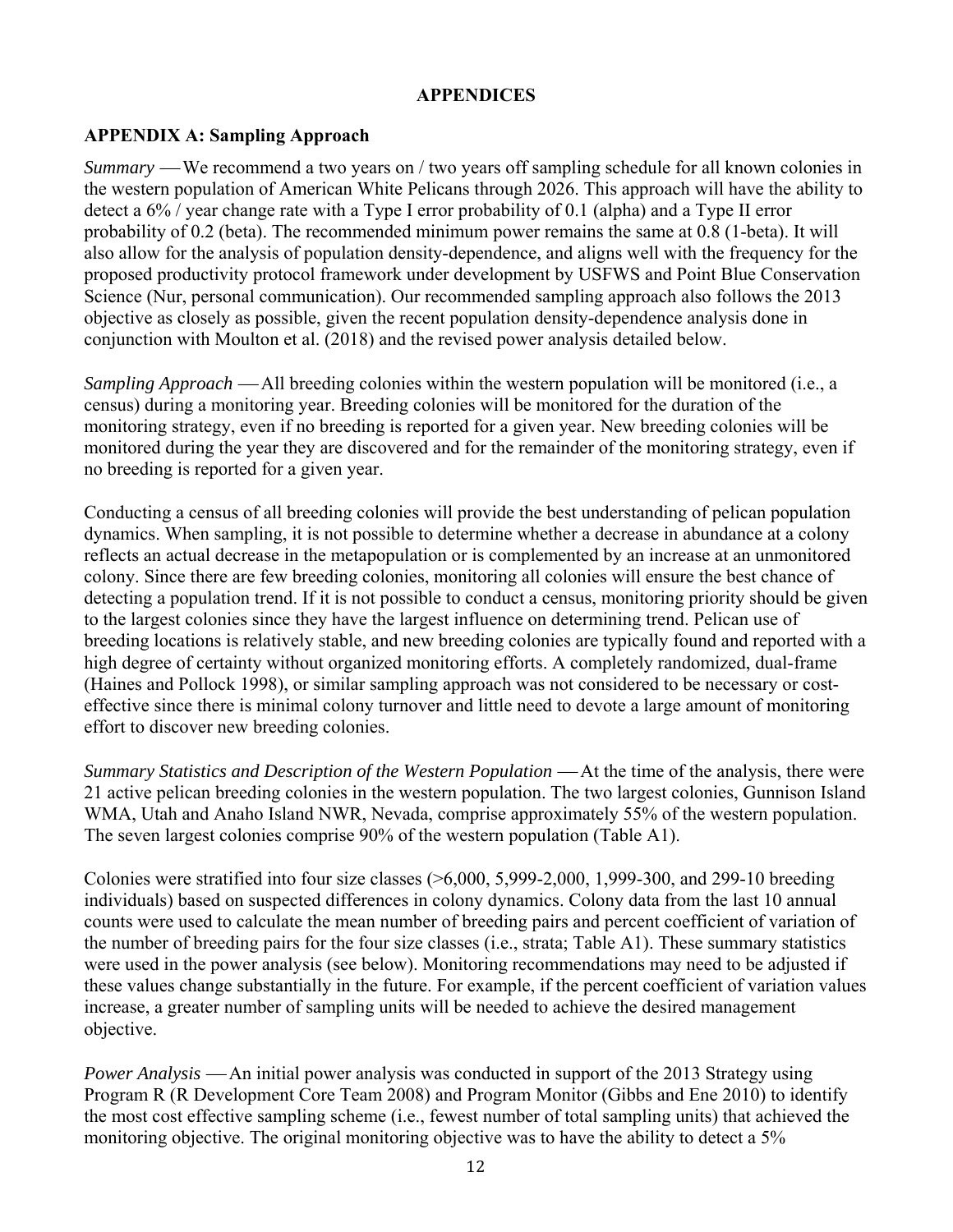#### **APPENDICES**

#### **APPENDIX A: Sampling Approach**

*Summary* — We recommend a two years on / two years off sampling schedule for all known colonies in the western population of American White Pelicans through 2026. This approach will have the ability to detect a 6% / year change rate with a Type I error probability of 0.1 (alpha) and a Type II error probability of 0.2 (beta). The recommended minimum power remains the same at 0.8 (1-beta). It will also allow for the analysis of population density-dependence, and aligns well with the frequency for the proposed productivity protocol framework under development by USFWS and Point Blue Conservation Science (Nur, personal communication). Our recommended sampling approach also follows the 2013 objective as closely as possible, given the recent population density-dependence analysis done in conjunction with Moulton et al. (2018) and the revised power analysis detailed below.

*Sampling Approach* — All breeding colonies within the western population will be monitored (i.e., a census) during a monitoring year. Breeding colonies will be monitored for the duration of the monitoring strategy, even if no breeding is reported for a given year. New breeding colonies will be monitored during the year they are discovered and for the remainder of the monitoring strategy, even if no breeding is reported for a given year.

Conducting a census of all breeding colonies will provide the best understanding of pelican population dynamics. When sampling, it is not possible to determine whether a decrease in abundance at a colony reflects an actual decrease in the metapopulation or is complemented by an increase at an unmonitored colony. Since there are few breeding colonies, monitoring all colonies will ensure the best chance of detecting a population trend. If it is not possible to conduct a census, monitoring priority should be given to the largest colonies since they have the largest influence on determining trend. Pelican use of breeding locations is relatively stable, and new breeding colonies are typically found and reported with a high degree of certainty without organized monitoring efforts. A completely randomized, dual-frame (Haines and Pollock 1998), or similar sampling approach was not considered to be necessary or costeffective since there is minimal colony turnover and little need to devote a large amount of monitoring effort to discover new breeding colonies.

*Summary Statistics and Description of the Western Population* — At the time of the analysis, there were 21 active pelican breeding colonies in the western population. The two largest colonies, Gunnison Island WMA, Utah and Anaho Island NWR, Nevada, comprise approximately 55% of the western population. The seven largest colonies comprise 90% of the western population (Table A1).

Colonies were stratified into four size classes  $($ >6,000, 5,999-2,000, 1,999-300, and 299-10 breeding individuals) based on suspected differences in colony dynamics. Colony data from the last 10 annual counts were used to calculate the mean number of breeding pairs and percent coefficient of variation of the number of breeding pairs for the four size classes (i.e., strata; Table A1). These summary statistics were used in the power analysis (see below). Monitoring recommendations may need to be adjusted if these values change substantially in the future. For example, if the percent coefficient of variation values increase, a greater number of sampling units will be needed to achieve the desired management objective.

*Power Analysis* — An initial power analysis was conducted in support of the 2013 Strategy using Program R (R Development Core Team 2008) and Program Monitor (Gibbs and Ene 2010) to identify the most cost effective sampling scheme (i.e., fewest number of total sampling units) that achieved the monitoring objective. The original monitoring objective was to have the ability to detect a 5%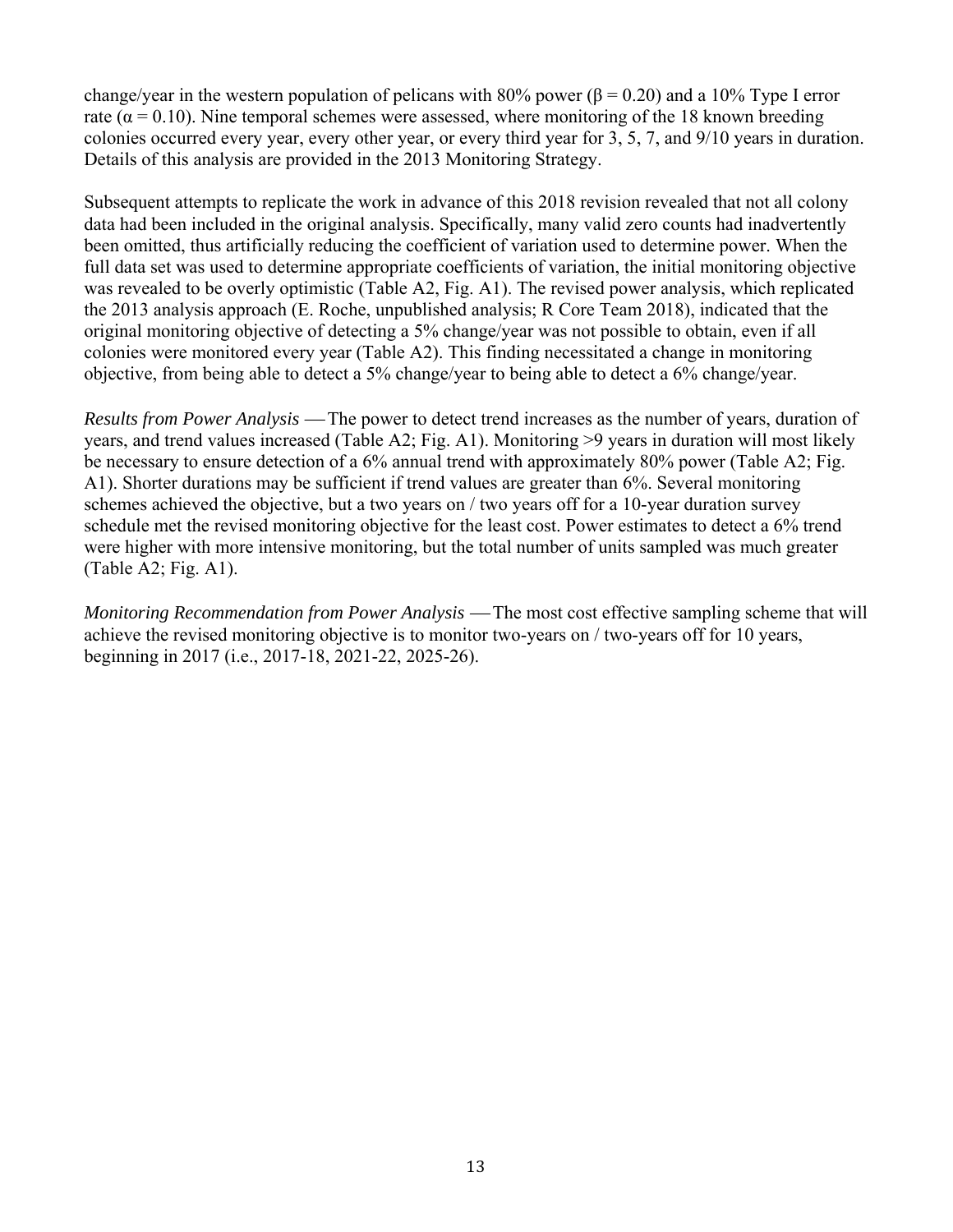change/year in the western population of pelicans with 80% power ( $\beta$  = 0.20) and a 10% Type I error rate ( $\alpha$  = 0.10). Nine temporal schemes were assessed, where monitoring of the 18 known breeding colonies occurred every year, every other year, or every third year for 3, 5, 7, and 9/10 years in duration. Details of this analysis are provided in the 2013 Monitoring Strategy.

Subsequent attempts to replicate the work in advance of this 2018 revision revealed that not all colony data had been included in the original analysis. Specifically, many valid zero counts had inadvertently been omitted, thus artificially reducing the coefficient of variation used to determine power. When the full data set was used to determine appropriate coefficients of variation, the initial monitoring objective was revealed to be overly optimistic (Table A2, Fig. A1). The revised power analysis, which replicated the 2013 analysis approach (E. Roche, unpublished analysis; R Core Team 2018), indicated that the original monitoring objective of detecting a 5% change/year was not possible to obtain, even if all colonies were monitored every year (Table A2). This finding necessitated a change in monitoring objective, from being able to detect a 5% change/year to being able to detect a 6% change/year.

*Results from Power Analysis* — The power to detect trend increases as the number of years, duration of years, and trend values increased (Table A2; Fig. A1). Monitoring >9 years in duration will most likely be necessary to ensure detection of a 6% annual trend with approximately 80% power (Table A2; Fig. A1). Shorter durations may be sufficient if trend values are greater than 6%. Several monitoring schemes achieved the objective, but a two years on / two years off for a 10-year duration survey schedule met the revised monitoring objective for the least cost. Power estimates to detect a 6% trend were higher with more intensive monitoring, but the total number of units sampled was much greater (Table A2; Fig. A1).

*Monitoring Recommendation from Power Analysis* — The most cost effective sampling scheme that will achieve the revised monitoring objective is to monitor two-years on / two-years off for 10 years, beginning in 2017 (i.e., 2017-18, 2021-22, 2025-26).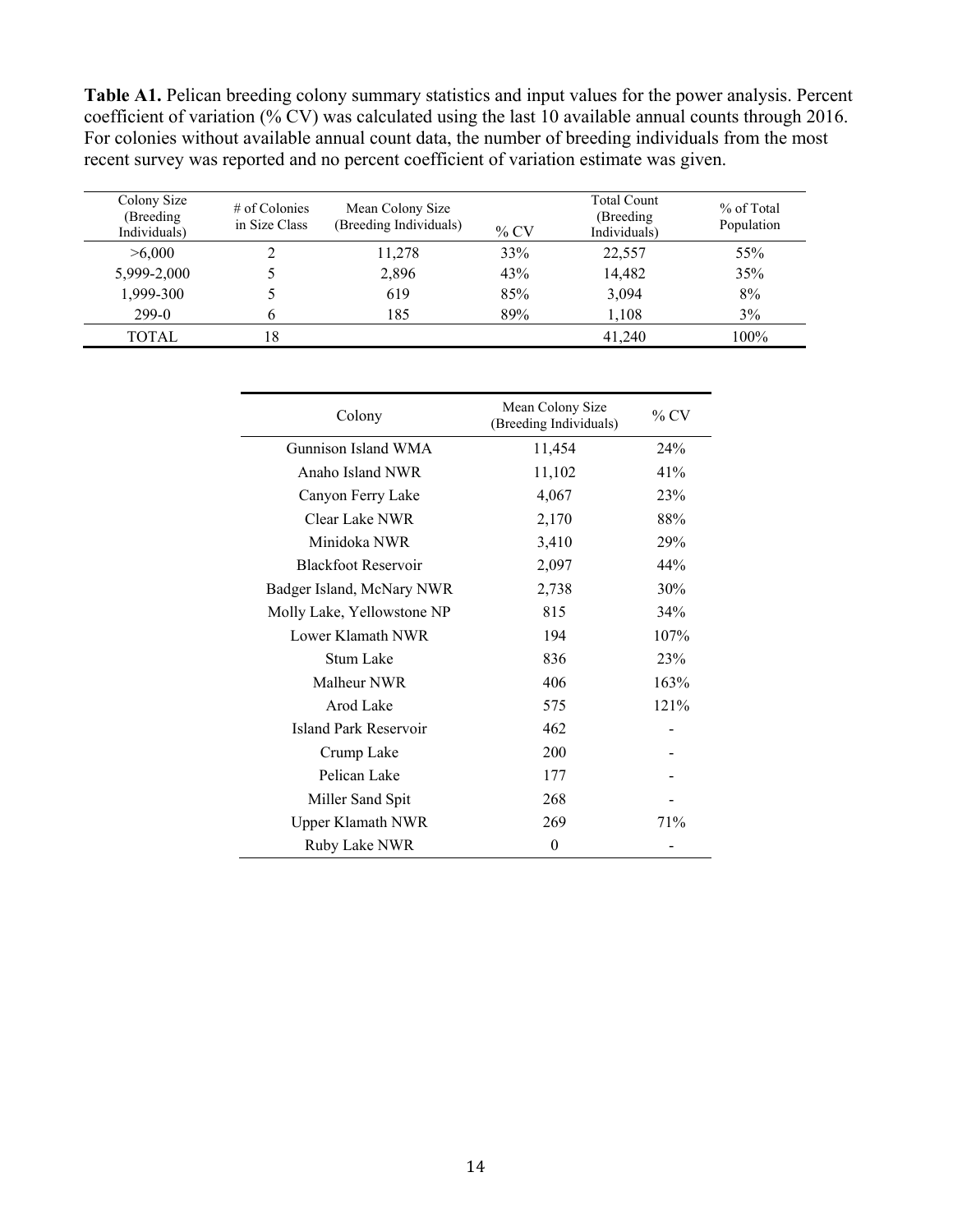**Table A1.** Pelican breeding colony summary statistics and input values for the power analysis. Percent coefficient of variation (% CV) was calculated using the last 10 available annual counts through 2016. For colonies without available annual count data, the number of breeding individuals from the most recent survey was reported and no percent coefficient of variation estimate was given.

| Colony Size<br>(Breeding<br>Individuals) | $#$ of Colonies<br>in Size Class | Mean Colony Size<br>(Breeding Individuals) | $\%$ CV | <b>Total Count</b><br>(Breeding)<br>Individuals) | % of Total<br>Population |
|------------------------------------------|----------------------------------|--------------------------------------------|---------|--------------------------------------------------|--------------------------|
| >6,000                                   |                                  | 11,278                                     | 33%     | 22,557                                           | 55%                      |
| 5,999-2,000                              |                                  | 2,896                                      | 43%     | 14,482                                           | 35%                      |
| 1,999-300                                |                                  | 619                                        | 85%     | 3,094                                            | 8%                       |
| $299-0$                                  |                                  | 185                                        | 89%     | 1,108                                            | 3%                       |
| <b>TOTAL</b>                             | 18                               |                                            |         | 41,240                                           | 100%                     |

| Colony                     | Mean Colony Size<br>(Breeding Individuals) | $\%$ CV |
|----------------------------|--------------------------------------------|---------|
| Gunnison Island WMA        | 11,454                                     | 24%     |
| Anaho Island NWR           | 11,102                                     | 41%     |
| Canyon Ferry Lake          | 4,067                                      | 23%     |
| Clear Lake NWR             | 2,170                                      | 88%     |
| Minidoka NWR               | 3,410                                      | 29%     |
| <b>Blackfoot Reservoir</b> | 2,097                                      | 44%     |
| Badger Island, McNary NWR  | 2,738                                      | 30%     |
| Molly Lake, Yellowstone NP | 815                                        | 34%     |
| Lower Klamath NWR          | 194                                        | 107%    |
| Stum Lake                  | 836                                        | 23%     |
| Malheur NWR                | 406                                        | 163%    |
| Arod Lake                  | 575                                        | 121%    |
| Island Park Reservoir      | 462                                        |         |
| Crump Lake                 | 200                                        |         |
| Pelican Lake               | 177                                        |         |
| Miller Sand Spit           | 268                                        |         |
| <b>Upper Klamath NWR</b>   | 269                                        | 71%     |
| Ruby Lake NWR              | 0                                          |         |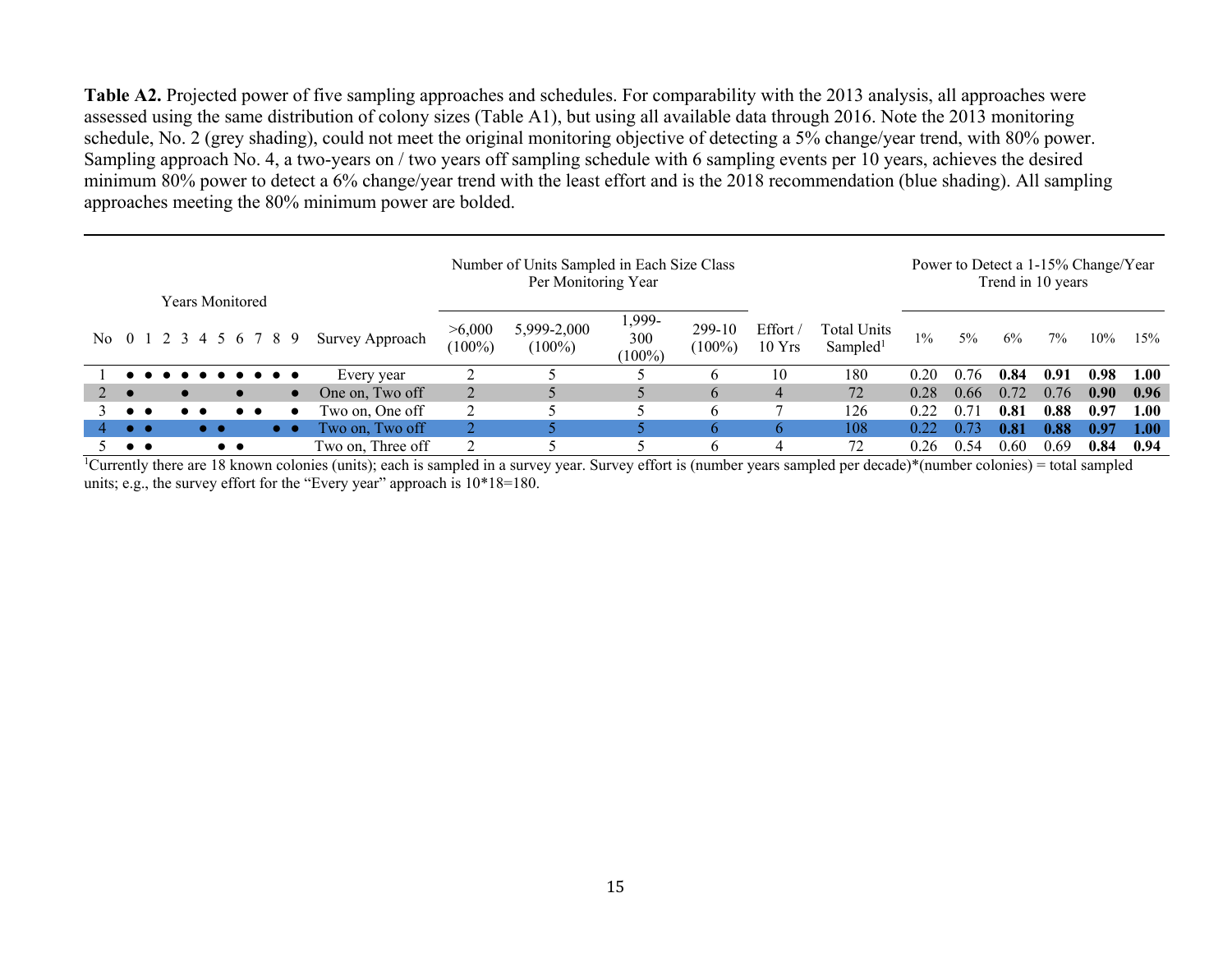**Table A2.** Projected power of five sampling approaches and schedules. For comparability with the 2013 analysis, all approaches were assessed using the same distribution of colony sizes (Table A1), but using all available data through 2016. Note the 2013 monitoring schedule, No. 2 (grey shading), could not meet the original monitoring objective of detecting a 5% change/year trend, with 80% power. Sampling approach No. 4, a two-years on / two years off sampling schedule with 6 sampling events per 10 years, achieves the desired minimum 80% power to detect a 6% change/year trend with the least effort and is the 2018 recommendation (blue shading). All sampling approaches meeting the 80% minimum power are bolded.

|                                          |                                                                                                                    |                      | Years Monitored         |                      |                   | Number of Units Sampled in Each Size Class<br>Per Monitoring Year |                          |                            |                     |                              |                                            |       | Power to Detect a 1-15% Change/Year<br>Trend in 10 years |      |      |                   |      |
|------------------------------------------|--------------------------------------------------------------------------------------------------------------------|----------------------|-------------------------|----------------------|-------------------|-------------------------------------------------------------------|--------------------------|----------------------------|---------------------|------------------------------|--------------------------------------------|-------|----------------------------------------------------------|------|------|-------------------|------|
|                                          |                                                                                                                    |                      | No 0 1 2 3 4 5 6 7 8 9  |                      | Survey Approach   | >6,000<br>$(100\%)$                                               | 5,999-2,000<br>$(100\%)$ | 1,999-<br>300<br>$(100\%)$ | 299-10<br>$(100\%)$ | Effort /<br>$10 \text{ Yrs}$ | <b>Total Units</b><br>Sampled <sup>1</sup> | $1\%$ | 5%                                                       | 6%   | 7%   | 10%               | 15%  |
|                                          | $\bullet\hspace{0.4mm}\bullet\hspace{0.4mm}\bullet\hspace{0.4mm}\bullet\hspace{0.4mm}\bullet\hspace{0.4mm}\bullet$ |                      | $\bullet\bullet\bullet$ |                      | Every year        |                                                                   |                          |                            |                     | l0                           | 180                                        | 0.20  | 0.76                                                     | 0.84 | 0.91 | 0.98              | 1.00 |
| $\bullet$                                |                                                                                                                    |                      |                         | $\bullet$            | One on, Two off   | 2                                                                 |                          |                            | $\mathfrak b$       |                              | 72                                         | 0.28  | 0.66                                                     | 0.72 | 0.76 | 0.90 <sub>1</sub> | 0.96 |
| $\bullet\bullet$                         |                                                                                                                    |                      |                         |                      | Two on, One off   | $\mathcal{D}$                                                     |                          |                            | <sub>0</sub>        |                              | 126                                        | 0.22  | 0.7                                                      | 0.81 | 0.88 | 0.97              | 1.00 |
| $\bullet\bullet$                         |                                                                                                                    | $\bullet\quadbullet$ |                         | $\bullet\quadbullet$ | Two on, Two off   |                                                                   |                          |                            | h                   | h.                           | 108                                        | 0.22  | 0.7                                                      | 0.81 | 0.88 | 0.97              | 1.00 |
| $\bullet\hspace{1mm}\bullet\hspace{1mm}$ |                                                                                                                    |                      | $\bullet\bullet$        |                      | Two on, Three off |                                                                   |                          |                            | <sub>0</sub>        |                              | 72                                         | 0.26  | 0.54                                                     | 0.60 | 0.69 | 0.84              | 0.94 |

<sup>1</sup>Currently there are 18 known colonies (units); each is sampled in a survey year. Survey effort is (number years sampled per decade)\*(number colonies) = total sampled units; e.g., the survey effort for the "Every year" approach is  $10*18=180$ .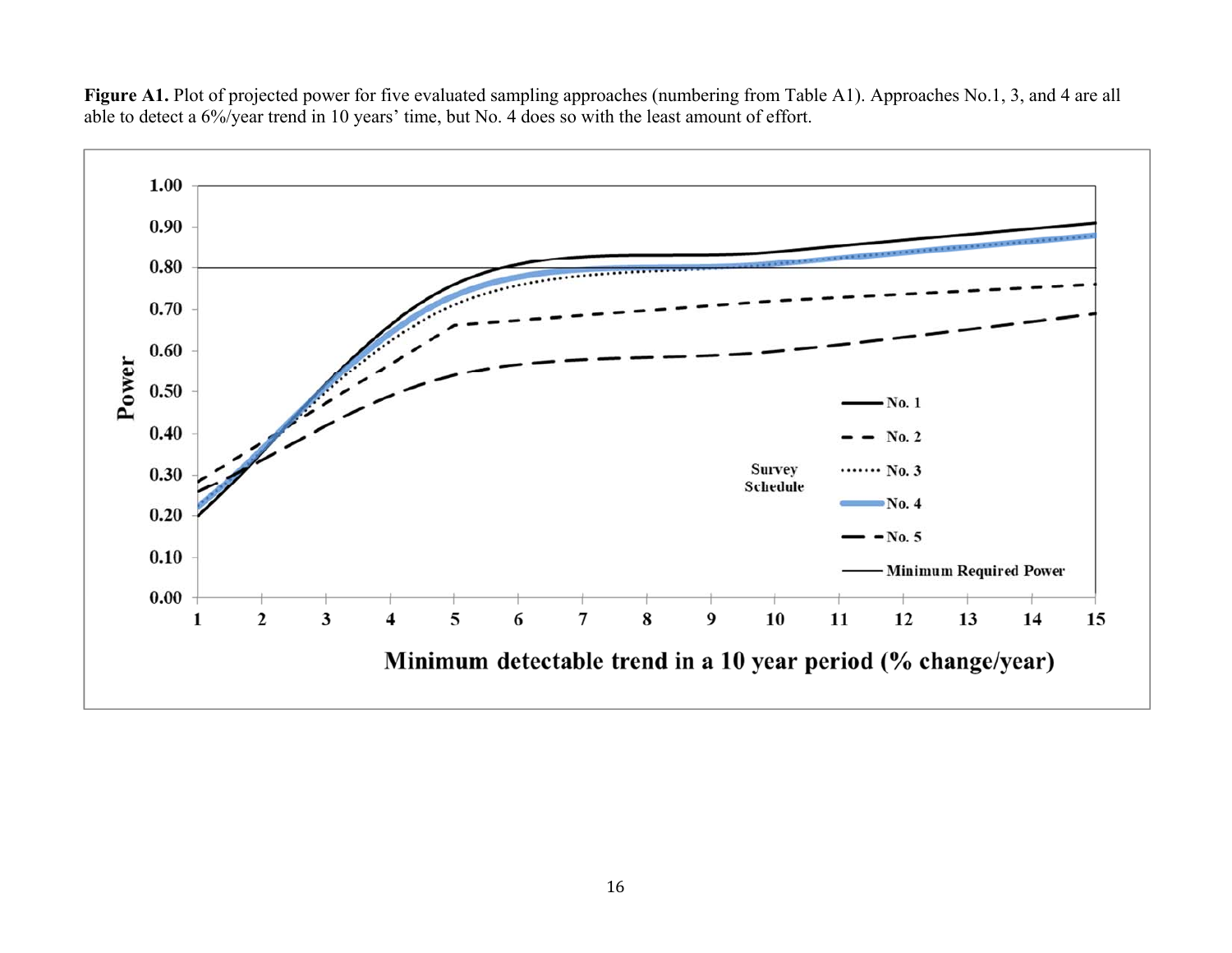

Figure A1. Plot of projected power for five evaluated sampling approaches (numbering from Table A1). Approaches No.1, 3, and 4 are all able to detect a 6%/year trend in 10 years' time, but No. 4 does so with the least amount of effort.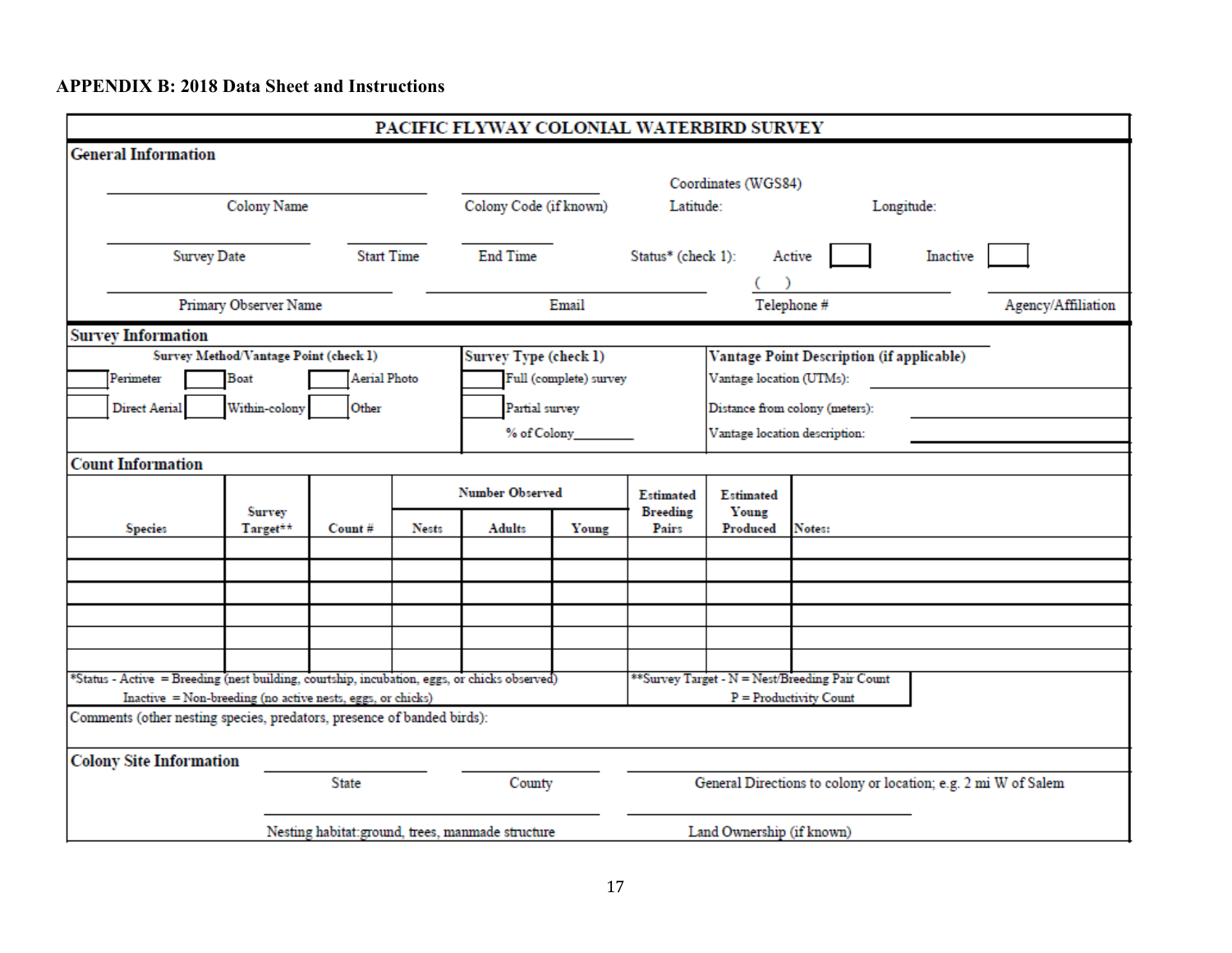## **APPENDIX B: 2018 Data Sheet and Instructions**

| PACIFIC FLYWAY COLONIAL WATERBIRD SURVEY                                                     |                                       |              |              |                                                  |                        |                                                                |                          |                                                |  |  |
|----------------------------------------------------------------------------------------------|---------------------------------------|--------------|--------------|--------------------------------------------------|------------------------|----------------------------------------------------------------|--------------------------|------------------------------------------------|--|--|
| <b>General Information</b>                                                                   |                                       |              |              |                                                  |                        |                                                                |                          |                                                |  |  |
|                                                                                              |                                       |              |              | Coordinates (WGS84)                              |                        |                                                                |                          |                                                |  |  |
|                                                                                              | Colony Name                           |              |              | Colony Code (if known)                           |                        | Latitude:                                                      |                          | Longitude:                                     |  |  |
|                                                                                              |                                       |              |              |                                                  |                        |                                                                |                          |                                                |  |  |
|                                                                                              | <b>Start Time</b><br>Survey Date      |              |              |                                                  |                        | Status* (check 1):                                             | Active<br>Inactive       |                                                |  |  |
|                                                                                              |                                       |              |              |                                                  |                        |                                                                |                          |                                                |  |  |
|                                                                                              | Primary Observer Name                 |              |              |                                                  | Email                  |                                                                |                          | Agency/Affiliation<br>Telephone #              |  |  |
| <b>Survey Information</b>                                                                    |                                       |              |              |                                                  |                        |                                                                |                          |                                                |  |  |
|                                                                                              | Survey Method/Vantage Point (check 1) |              |              | Survey Type (check 1)                            |                        |                                                                |                          | Vantage Point Description (if applicable)      |  |  |
| Perimeter                                                                                    | <b>Boat</b>                           | Aerial Photo |              |                                                  | Full (complete) survey |                                                                | Vantage location (UTMs): |                                                |  |  |
| Direct Aerial                                                                                | Within-colony                         | Other        |              | Partial survey                                   |                        |                                                                |                          | Distance from colony (meters):                 |  |  |
|                                                                                              |                                       |              |              |                                                  |                        |                                                                |                          | Vantage location description:                  |  |  |
| <b>Count Information</b>                                                                     |                                       |              |              |                                                  |                        |                                                                |                          |                                                |  |  |
|                                                                                              |                                       |              |              | <b>Number Observed</b>                           |                        |                                                                | Estimated                |                                                |  |  |
| <b>Species</b>                                                                               | Survey<br>Target**                    | Count#       | <b>Nests</b> | Adults                                           | Young                  | <b>Breeding</b><br>Pairs                                       | Young<br>Produced        | Notes:                                         |  |  |
|                                                                                              |                                       |              |              |                                                  |                        |                                                                |                          |                                                |  |  |
|                                                                                              |                                       |              |              |                                                  |                        |                                                                |                          |                                                |  |  |
|                                                                                              |                                       |              |              |                                                  |                        |                                                                |                          |                                                |  |  |
|                                                                                              |                                       |              |              |                                                  |                        |                                                                |                          |                                                |  |  |
|                                                                                              |                                       |              |              |                                                  |                        |                                                                |                          |                                                |  |  |
| *Status - Active = Breeding (nest building, courtship, incubation, eggs, or chicks observed) |                                       |              |              |                                                  |                        |                                                                |                          | **Survey Target - N = Nest/Breeding Pair Count |  |  |
| Inactive = Non-breeding (no active nests, eggs, or chicks)                                   |                                       |              |              |                                                  |                        |                                                                |                          | $P = Productivity$ Count                       |  |  |
| Comments (other nesting species, predators, presence of banded birds):                       |                                       |              |              |                                                  |                        |                                                                |                          |                                                |  |  |
| <b>Colony Site Information</b>                                                               |                                       |              |              |                                                  |                        |                                                                |                          |                                                |  |  |
|                                                                                              |                                       | <b>State</b> |              | County                                           |                        | General Directions to colony or location; e.g. 2 mi W of Salem |                          |                                                |  |  |
|                                                                                              |                                       |              |              | Nesting habitat:ground, trees, manmade structure |                        | Land Ownership (if known)                                      |                          |                                                |  |  |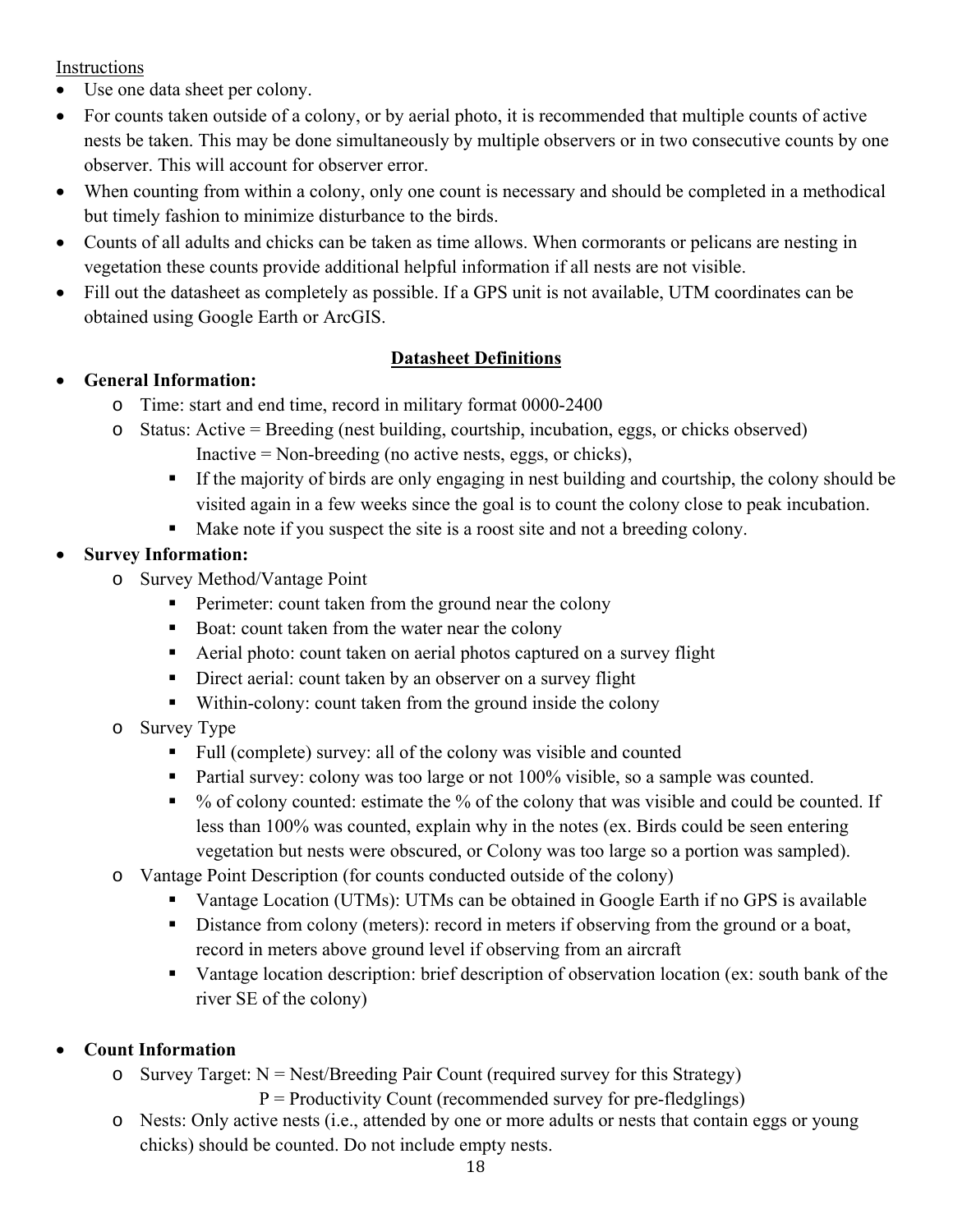Instructions

- Use one data sheet per colony.
- For counts taken outside of a colony, or by aerial photo, it is recommended that multiple counts of active nests be taken. This may be done simultaneously by multiple observers or in two consecutive counts by one observer. This will account for observer error.
- When counting from within a colony, only one count is necessary and should be completed in a methodical but timely fashion to minimize disturbance to the birds.
- Counts of all adults and chicks can be taken as time allows. When cormorants or pelicans are nesting in vegetation these counts provide additional helpful information if all nests are not visible.
- Fill out the datasheet as completely as possible. If a GPS unit is not available, UTM coordinates can be obtained using Google Earth or ArcGIS.

## **Datasheet Definitions**

## **General Information:**

- o Time: start and end time, record in military format 0000-2400
- o Status: Active = Breeding (nest building, courtship, incubation, eggs, or chicks observed)
	- Inactive = Non-breeding (no active nests, eggs, or chicks),
	- If the majority of birds are only engaging in nest building and courtship, the colony should be visited again in a few weeks since the goal is to count the colony close to peak incubation.
	- Make note if you suspect the site is a roost site and not a breeding colony.

## **Survey Information:**

- o Survey Method/Vantage Point
	- **Perimeter:** count taken from the ground near the colony
	- Boat: count taken from the water near the colony
	- Aerial photo: count taken on aerial photos captured on a survey flight
	- Direct aerial: count taken by an observer on a survey flight
	- Within-colony: count taken from the ground inside the colony
- o Survey Type
	- Full (complete) survey: all of the colony was visible and counted
	- **Partial survey: colony was too large or not 100% visible, so a sample was counted.**
	- $\bullet$  % of colony counted: estimate the % of the colony that was visible and could be counted. If less than 100% was counted, explain why in the notes (ex. Birds could be seen entering vegetation but nests were obscured, or Colony was too large so a portion was sampled).
- o Vantage Point Description (for counts conducted outside of the colony)
	- Vantage Location (UTMs): UTMs can be obtained in Google Earth if no GPS is available
	- Distance from colony (meters): record in meters if observing from the ground or a boat, record in meters above ground level if observing from an aircraft
	- Vantage location description: brief description of observation location (ex: south bank of the river SE of the colony)

## **Count Information**

o Survey Target:  $N = \text{Nest/Breeding Pair Count (required survey for this Strategy)}$ 

 $P =$  Productivity Count (recommended survey for pre-fledglings)

o Nests: Only active nests (i.e., attended by one or more adults or nests that contain eggs or young chicks) should be counted. Do not include empty nests.